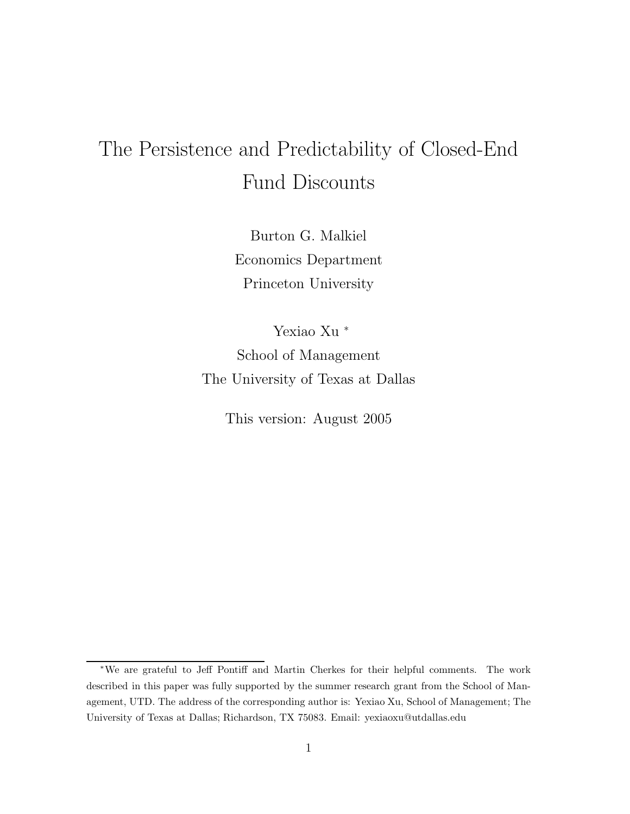# The Persistence and Predictability of Closed-End Fund Discounts

Burton G. Malkiel Economics Department Princeton University

Yexiao Xu <sup>∗</sup> School of Management The University of Texas at Dallas

This version: August 2005

<sup>∗</sup>We are grateful to Jeff Pontiff and Martin Cherkes for their helpful comments. The work described in this paper was fully supported by the summer research grant from the School of Management, UTD. The address of the corresponding author is: Yexiao Xu, School of Management; The University of Texas at Dallas; Richardson, TX 75083. Email: yexiaoxu@utdallas.edu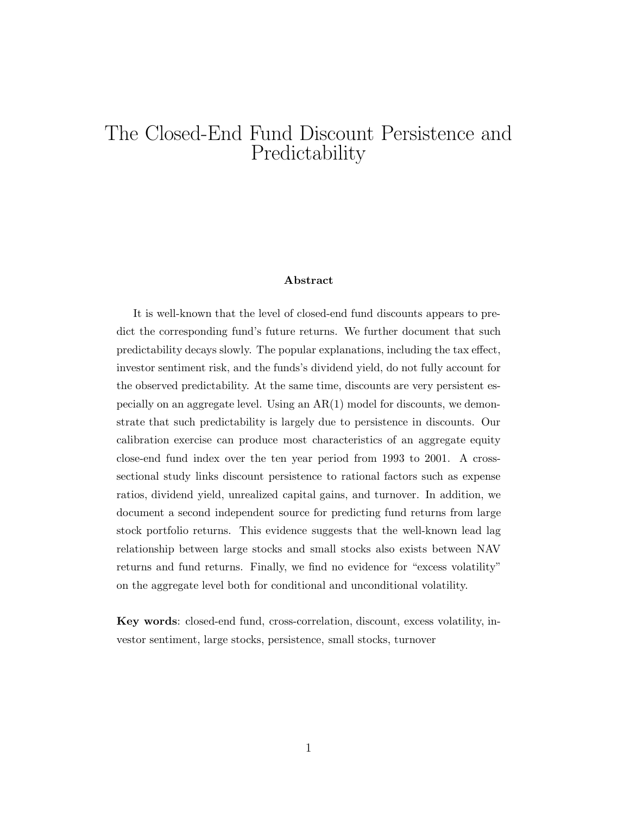# The Closed-End Fund Discount Persistence and Predictability

#### **Abstract**

It is well-known that the level of closed-end fund discounts appears to predict the corresponding fund's future returns. We further document that such predictability decays slowly. The popular explanations, including the tax effect, investor sentiment risk, and the funds's dividend yield, do not fully account for the observed predictability. At the same time, discounts are very persistent especially on an aggregate level. Using an  $AR(1)$  model for discounts, we demonstrate that such predictability is largely due to persistence in discounts. Our calibration exercise can produce most characteristics of an aggregate equity close-end fund index over the ten year period from 1993 to 2001. A crosssectional study links discount persistence to rational factors such as expense ratios, dividend yield, unrealized capital gains, and turnover. In addition, we document a second independent source for predicting fund returns from large stock portfolio returns. This evidence suggests that the well-known lead lag relationship between large stocks and small stocks also exists between NAV returns and fund returns. Finally, we find no evidence for "excess volatility" on the aggregate level both for conditional and unconditional volatility.

**Key words**: closed-end fund, cross-correlation, discount, excess volatility, investor sentiment, large stocks, persistence, small stocks, turnover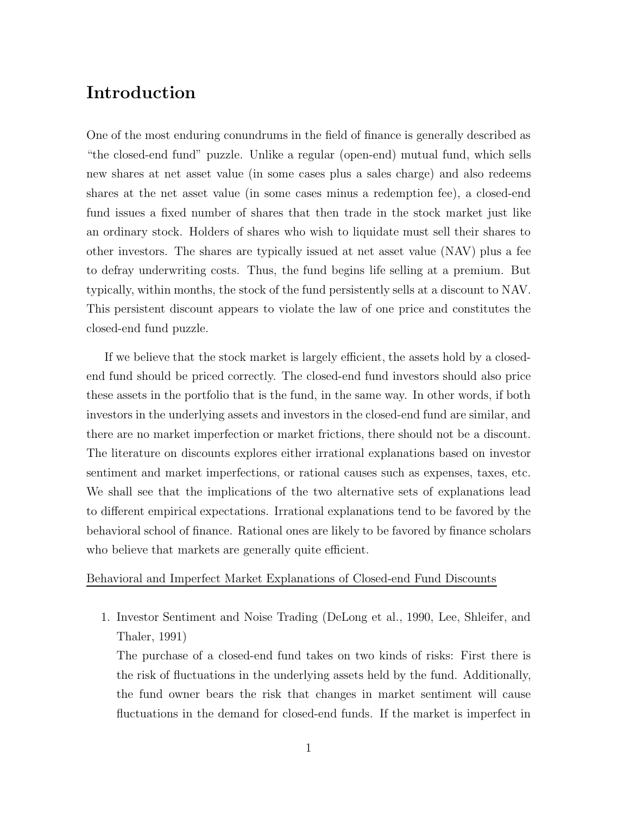## **Introduction**

One of the most enduring conundrums in the field of finance is generally described as "the closed-end fund" puzzle. Unlike a regular (open-end) mutual fund, which sells new shares at net asset value (in some cases plus a sales charge) and also redeems shares at the net asset value (in some cases minus a redemption fee), a closed-end fund issues a fixed number of shares that then trade in the stock market just like an ordinary stock. Holders of shares who wish to liquidate must sell their shares to other investors. The shares are typically issued at net asset value (NAV) plus a fee to defray underwriting costs. Thus, the fund begins life selling at a premium. But typically, within months, the stock of the fund persistently sells at a discount to NAV. This persistent discount appears to violate the law of one price and constitutes the closed-end fund puzzle.

If we believe that the stock market is largely efficient, the assets hold by a closedend fund should be priced correctly. The closed-end fund investors should also price these assets in the portfolio that is the fund, in the same way. In other words, if both investors in the underlying assets and investors in the closed-end fund are similar, and there are no market imperfection or market frictions, there should not be a discount. The literature on discounts explores either irrational explanations based on investor sentiment and market imperfections, or rational causes such as expenses, taxes, etc. We shall see that the implications of the two alternative sets of explanations lead to different empirical expectations. Irrational explanations tend to be favored by the behavioral school of finance. Rational ones are likely to be favored by finance scholars who believe that markets are generally quite efficient.

#### Behavioral and Imperfect Market Explanations of Closed-end Fund Discounts

1. Investor Sentiment and Noise Trading (DeLong et al., 1990, Lee, Shleifer, and Thaler, 1991)

The purchase of a closed-end fund takes on two kinds of risks: First there is the risk of fluctuations in the underlying assets held by the fund. Additionally, the fund owner bears the risk that changes in market sentiment will cause fluctuations in the demand for closed-end funds. If the market is imperfect in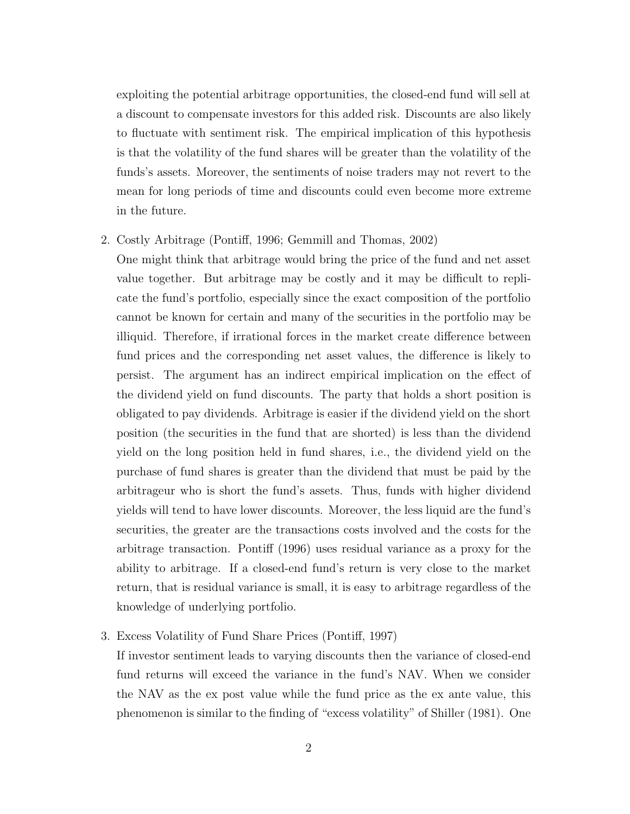exploiting the potential arbitrage opportunities, the closed-end fund will sell at a discount to compensate investors for this added risk. Discounts are also likely to fluctuate with sentiment risk. The empirical implication of this hypothesis is that the volatility of the fund shares will be greater than the volatility of the funds's assets. Moreover, the sentiments of noise traders may not revert to the mean for long periods of time and discounts could even become more extreme in the future.

2. Costly Arbitrage (Pontiff, 1996; Gemmill and Thomas, 2002)

One might think that arbitrage would bring the price of the fund and net asset value together. But arbitrage may be costly and it may be difficult to replicate the fund's portfolio, especially since the exact composition of the portfolio cannot be known for certain and many of the securities in the portfolio may be illiquid. Therefore, if irrational forces in the market create difference between fund prices and the corresponding net asset values, the difference is likely to persist. The argument has an indirect empirical implication on the effect of the dividend yield on fund discounts. The party that holds a short position is obligated to pay dividends. Arbitrage is easier if the dividend yield on the short position (the securities in the fund that are shorted) is less than the dividend yield on the long position held in fund shares, i.e., the dividend yield on the purchase of fund shares is greater than the dividend that must be paid by the arbitrageur who is short the fund's assets. Thus, funds with higher dividend yields will tend to have lower discounts. Moreover, the less liquid are the fund's securities, the greater are the transactions costs involved and the costs for the arbitrage transaction. Pontiff (1996) uses residual variance as a proxy for the ability to arbitrage. If a closed-end fund's return is very close to the market return, that is residual variance is small, it is easy to arbitrage regardless of the knowledge of underlying portfolio.

3. Excess Volatility of Fund Share Prices (Pontiff, 1997)

If investor sentiment leads to varying discounts then the variance of closed-end fund returns will exceed the variance in the fund's NAV. When we consider the NAV as the ex post value while the fund price as the ex ante value, this phenomenon is similar to the finding of "excess volatility" of Shiller (1981). One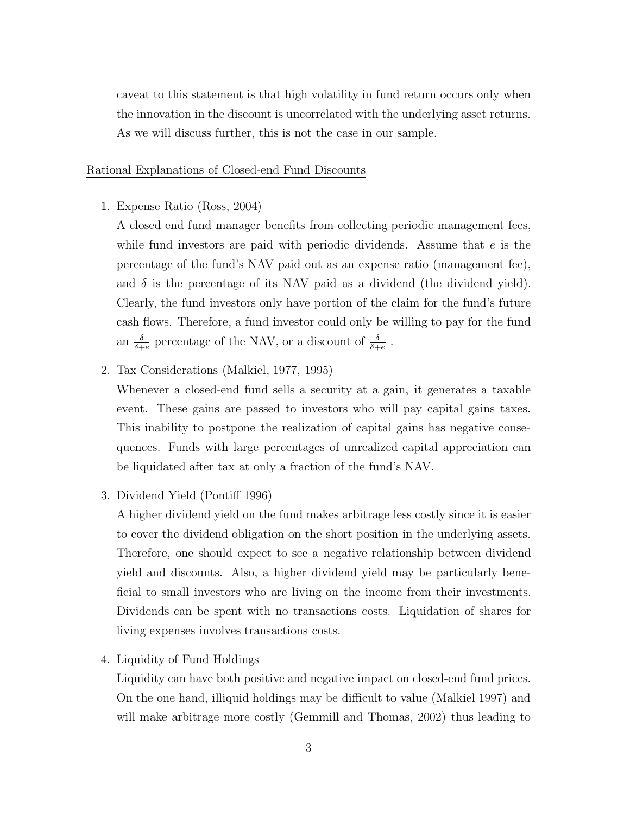caveat to this statement is that high volatility in fund return occurs only when the innovation in the discount is uncorrelated with the underlying asset returns. As we will discuss further, this is not the case in our sample.

#### Rational Explanations of Closed-end Fund Discounts

1. Expense Ratio (Ross, 2004)

A closed end fund manager benefits from collecting periodic management fees, while fund investors are paid with periodic dividends. Assume that  $e$  is the percentage of the fund's NAV paid out as an expense ratio (management fee), and  $\delta$  is the percentage of its NAV paid as a dividend (the dividend yield). Clearly, the fund investors only have portion of the claim for the fund's future cash flows. Therefore, a fund investor could only be willing to pay for the fund an  $\frac{\delta}{\delta + e}$  percentage of the NAV, or a discount of  $\frac{\delta}{\delta + e}$ .

2. Tax Considerations (Malkiel, 1977, 1995)

Whenever a closed-end fund sells a security at a gain, it generates a taxable event. These gains are passed to investors who will pay capital gains taxes. This inability to postpone the realization of capital gains has negative consequences. Funds with large percentages of unrealized capital appreciation can be liquidated after tax at only a fraction of the fund's NAV.

3. Dividend Yield (Pontiff 1996)

A higher dividend yield on the fund makes arbitrage less costly since it is easier to cover the dividend obligation on the short position in the underlying assets. Therefore, one should expect to see a negative relationship between dividend yield and discounts. Also, a higher dividend yield may be particularly beneficial to small investors who are living on the income from their investments. Dividends can be spent with no transactions costs. Liquidation of shares for living expenses involves transactions costs.

4. Liquidity of Fund Holdings

Liquidity can have both positive and negative impact on closed-end fund prices. On the one hand, illiquid holdings may be difficult to value (Malkiel 1997) and will make arbitrage more costly (Gemmill and Thomas, 2002) thus leading to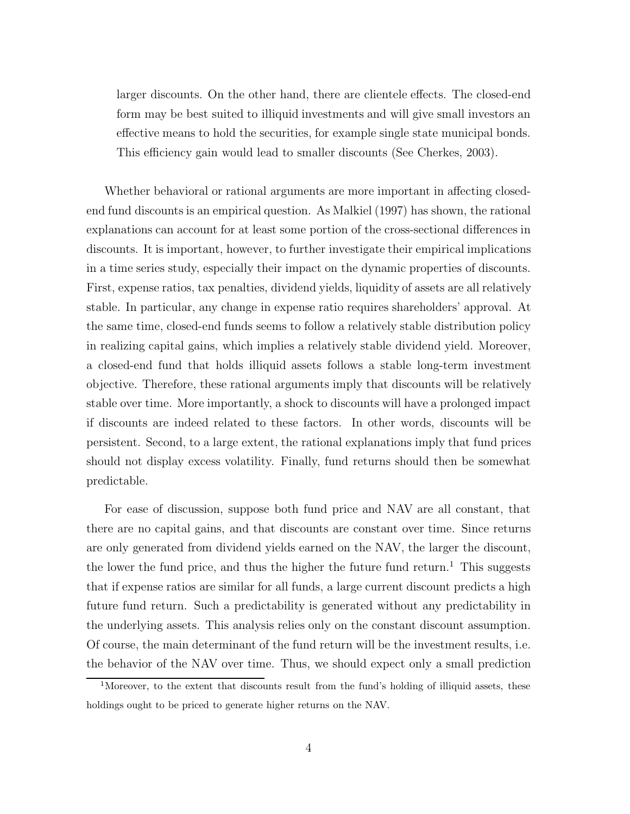larger discounts. On the other hand, there are clientele effects. The closed-end form may be best suited to illiquid investments and will give small investors an effective means to hold the securities, for example single state municipal bonds. This efficiency gain would lead to smaller discounts (See Cherkes, 2003).

Whether behavioral or rational arguments are more important in affecting closedend fund discounts is an empirical question. As Malkiel (1997) has shown, the rational explanations can account for at least some portion of the cross-sectional differences in discounts. It is important, however, to further investigate their empirical implications in a time series study, especially their impact on the dynamic properties of discounts. First, expense ratios, tax penalties, dividend yields, liquidity of assets are all relatively stable. In particular, any change in expense ratio requires shareholders' approval. At the same time, closed-end funds seems to follow a relatively stable distribution policy in realizing capital gains, which implies a relatively stable dividend yield. Moreover, a closed-end fund that holds illiquid assets follows a stable long-term investment objective. Therefore, these rational arguments imply that discounts will be relatively stable over time. More importantly, a shock to discounts will have a prolonged impact if discounts are indeed related to these factors. In other words, discounts will be persistent. Second, to a large extent, the rational explanations imply that fund prices should not display excess volatility. Finally, fund returns should then be somewhat predictable.

For ease of discussion, suppose both fund price and NAV are all constant, that there are no capital gains, and that discounts are constant over time. Since returns are only generated from dividend yields earned on the NAV, the larger the discount, the lower the fund price, and thus the higher the future fund return.<sup>1</sup> This suggests that if expense ratios are similar for all funds, a large current discount predicts a high future fund return. Such a predictability is generated without any predictability in the underlying assets. This analysis relies only on the constant discount assumption. Of course, the main determinant of the fund return will be the investment results, i.e. the behavior of the NAV over time. Thus, we should expect only a small prediction

<sup>&</sup>lt;sup>1</sup>Moreover, to the extent that discounts result from the fund's holding of illiquid assets, these holdings ought to be priced to generate higher returns on the NAV.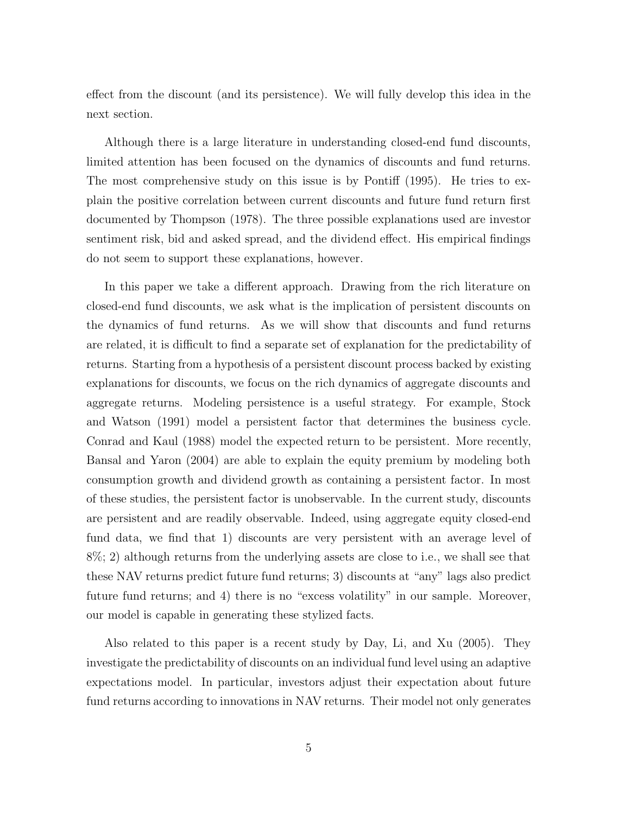effect from the discount (and its persistence). We will fully develop this idea in the next section.

Although there is a large literature in understanding closed-end fund discounts, limited attention has been focused on the dynamics of discounts and fund returns. The most comprehensive study on this issue is by Pontiff (1995). He tries to explain the positive correlation between current discounts and future fund return first documented by Thompson (1978). The three possible explanations used are investor sentiment risk, bid and asked spread, and the dividend effect. His empirical findings do not seem to support these explanations, however.

In this paper we take a different approach. Drawing from the rich literature on closed-end fund discounts, we ask what is the implication of persistent discounts on the dynamics of fund returns. As we will show that discounts and fund returns are related, it is difficult to find a separate set of explanation for the predictability of returns. Starting from a hypothesis of a persistent discount process backed by existing explanations for discounts, we focus on the rich dynamics of aggregate discounts and aggregate returns. Modeling persistence is a useful strategy. For example, Stock and Watson (1991) model a persistent factor that determines the business cycle. Conrad and Kaul (1988) model the expected return to be persistent. More recently, Bansal and Yaron (2004) are able to explain the equity premium by modeling both consumption growth and dividend growth as containing a persistent factor. In most of these studies, the persistent factor is unobservable. In the current study, discounts are persistent and are readily observable. Indeed, using aggregate equity closed-end fund data, we find that 1) discounts are very persistent with an average level of 8%; 2) although returns from the underlying assets are close to i.e., we shall see that these NAV returns predict future fund returns; 3) discounts at "any" lags also predict future fund returns; and 4) there is no "excess volatility" in our sample. Moreover, our model is capable in generating these stylized facts.

Also related to this paper is a recent study by Day, Li, and Xu (2005). They investigate the predictability of discounts on an individual fund level using an adaptive expectations model. In particular, investors adjust their expectation about future fund returns according to innovations in NAV returns. Their model not only generates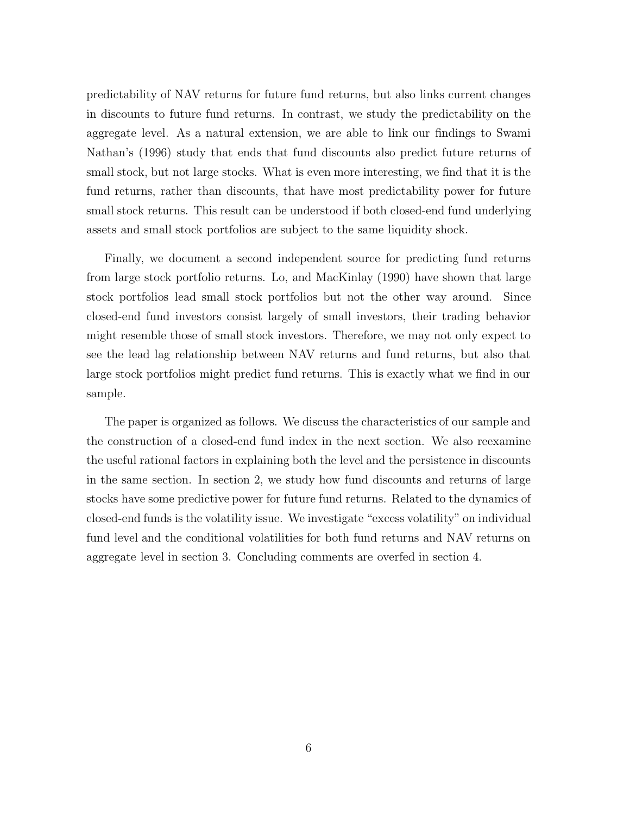predictability of NAV returns for future fund returns, but also links current changes in discounts to future fund returns. In contrast, we study the predictability on the aggregate level. As a natural extension, we are able to link our findings to Swami Nathan's (1996) study that ends that fund discounts also predict future returns of small stock, but not large stocks. What is even more interesting, we find that it is the fund returns, rather than discounts, that have most predictability power for future small stock returns. This result can be understood if both closed-end fund underlying assets and small stock portfolios are subject to the same liquidity shock.

Finally, we document a second independent source for predicting fund returns from large stock portfolio returns. Lo, and MacKinlay (1990) have shown that large stock portfolios lead small stock portfolios but not the other way around. Since closed-end fund investors consist largely of small investors, their trading behavior might resemble those of small stock investors. Therefore, we may not only expect to see the lead lag relationship between NAV returns and fund returns, but also that large stock portfolios might predict fund returns. This is exactly what we find in our sample.

The paper is organized as follows. We discuss the characteristics of our sample and the construction of a closed-end fund index in the next section. We also reexamine the useful rational factors in explaining both the level and the persistence in discounts in the same section. In section 2, we study how fund discounts and returns of large stocks have some predictive power for future fund returns. Related to the dynamics of closed-end funds is the volatility issue. We investigate "excess volatility" on individual fund level and the conditional volatilities for both fund returns and NAV returns on aggregate level in section 3. Concluding comments are overfed in section 4.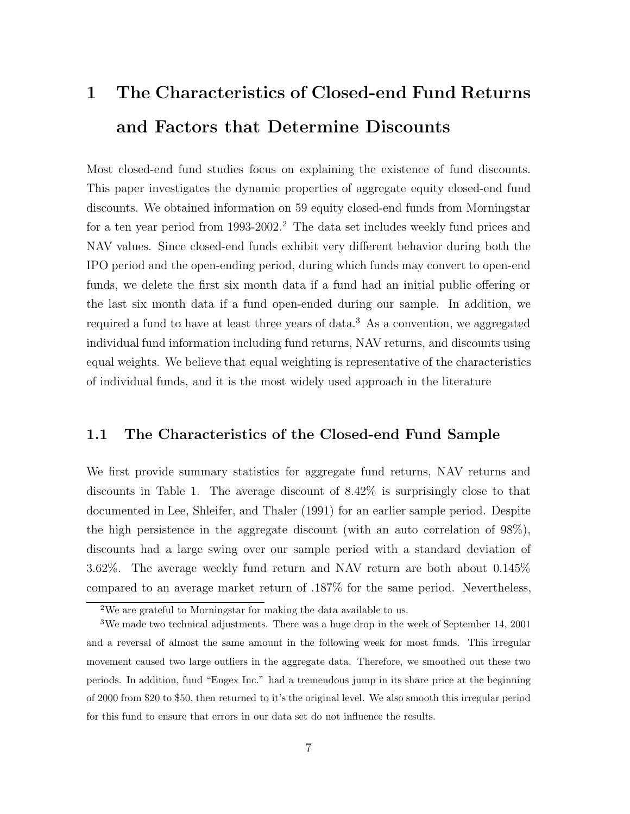# **1 The Characteristics of Closed-end Fund Returns and Factors that Determine Discounts**

Most closed-end fund studies focus on explaining the existence of fund discounts. This paper investigates the dynamic properties of aggregate equity closed-end fund discounts. We obtained information on 59 equity closed-end funds from Morningstar for a ten year period from 1993-2002.<sup>2</sup> The data set includes weekly fund prices and NAV values. Since closed-end funds exhibit very different behavior during both the IPO period and the open-ending period, during which funds may convert to open-end funds, we delete the first six month data if a fund had an initial public offering or the last six month data if a fund open-ended during our sample. In addition, we required a fund to have at least three years of data.<sup>3</sup> As a convention, we aggregated individual fund information including fund returns, NAV returns, and discounts using equal weights. We believe that equal weighting is representative of the characteristics of individual funds, and it is the most widely used approach in the literature

#### **1.1 The Characteristics of the Closed-end Fund Sample**

We first provide summary statistics for aggregate fund returns, NAV returns and discounts in Table 1. The average discount of 8.42% is surprisingly close to that documented in Lee, Shleifer, and Thaler (1991) for an earlier sample period. Despite the high persistence in the aggregate discount (with an auto correlation of 98%), discounts had a large swing over our sample period with a standard deviation of 3.62%. The average weekly fund return and NAV return are both about 0.145% compared to an average market return of .187% for the same period. Nevertheless,

<sup>2</sup>We are grateful to Morningstar for making the data available to us.

<sup>3</sup>We made two technical adjustments. There was a huge drop in the week of September 14, 2001 and a reversal of almost the same amount in the following week for most funds. This irregular movement caused two large outliers in the aggregate data. Therefore, we smoothed out these two periods. In addition, fund "Engex Inc." had a tremendous jump in its share price at the beginning of 2000 from \$20 to \$50, then returned to it's the original level. We also smooth this irregular period for this fund to ensure that errors in our data set do not influence the results.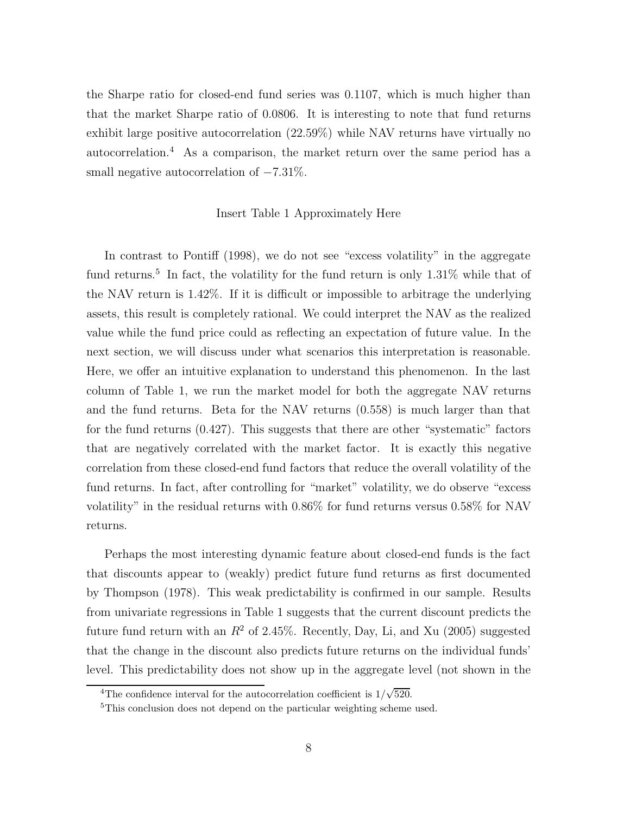the Sharpe ratio for closed-end fund series was 0.1107, which is much higher than that the market Sharpe ratio of 0.0806. It is interesting to note that fund returns exhibit large positive autocorrelation (22.59%) while NAV returns have virtually no autocorrelation.<sup>4</sup> As a comparison, the market return over the same period has a small negative autocorrelation of  $-7.31\%$ .

#### Insert Table 1 Approximately Here

In contrast to Pontiff (1998), we do not see "excess volatility" in the aggregate fund returns.<sup>5</sup> In fact, the volatility for the fund return is only 1.31% while that of the NAV return is 1.42%. If it is difficult or impossible to arbitrage the underlying assets, this result is completely rational. We could interpret the NAV as the realized value while the fund price could as reflecting an expectation of future value. In the next section, we will discuss under what scenarios this interpretation is reasonable. Here, we offer an intuitive explanation to understand this phenomenon. In the last column of Table 1, we run the market model for both the aggregate NAV returns and the fund returns. Beta for the NAV returns (0.558) is much larger than that for the fund returns (0.427). This suggests that there are other "systematic" factors that are negatively correlated with the market factor. It is exactly this negative correlation from these closed-end fund factors that reduce the overall volatility of the fund returns. In fact, after controlling for "market" volatility, we do observe "excess volatility" in the residual returns with 0.86% for fund returns versus 0.58% for NAV returns.

Perhaps the most interesting dynamic feature about closed-end funds is the fact that discounts appear to (weakly) predict future fund returns as first documented by Thompson (1978). This weak predictability is confirmed in our sample. Results from univariate regressions in Table 1 suggests that the current discount predicts the future fund return with an  $R^2$  of 2.45%. Recently, Day, Li, and Xu (2005) suggested that the change in the discount also predicts future returns on the individual funds' level. This predictability does not show up in the aggregate level (not shown in the

<sup>&</sup>lt;sup>4</sup>The confidence interval for the autocorrelation coefficient is  $1/\sqrt{520}$ .

<sup>&</sup>lt;sup>5</sup>This conclusion does not depend on the particular weighting scheme used.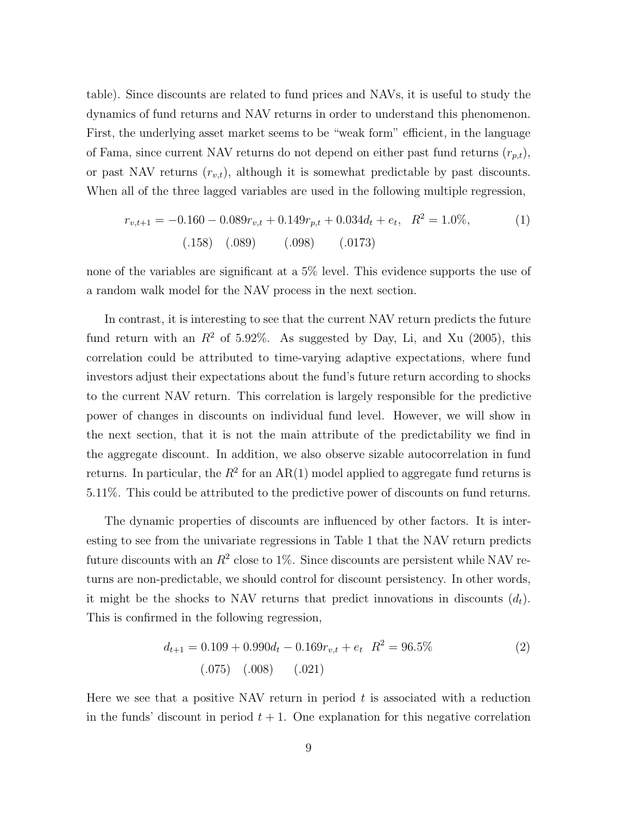table). Since discounts are related to fund prices and NAVs, it is useful to study the dynamics of fund returns and NAV returns in order to understand this phenomenon. First, the underlying asset market seems to be "weak form" efficient, in the language of Fama, since current NAV returns do not depend on either past fund returns  $(r_{p,t})$ , or past NAV returns  $(r_{v,t})$ , although it is somewhat predictable by past discounts. When all of the three lagged variables are used in the following multiple regression,

$$
r_{v,t+1} = -0.160 - 0.089r_{v,t} + 0.149r_{p,t} + 0.034d_t + e_t, \ R^2 = 1.0\%,
$$
\n(1)\n(158) (0.089) (0.098) (0.0173)

none of the variables are significant at a 5% level. This evidence supports the use of a random walk model for the NAV process in the next section.

In contrast, it is interesting to see that the current NAV return predicts the future fund return with an  $R^2$  of 5.92%. As suggested by Day, Li, and Xu (2005), this correlation could be attributed to time-varying adaptive expectations, where fund investors adjust their expectations about the fund's future return according to shocks to the current NAV return. This correlation is largely responsible for the predictive power of changes in discounts on individual fund level. However, we will show in the next section, that it is not the main attribute of the predictability we find in the aggregate discount. In addition, we also observe sizable autocorrelation in fund returns. In particular, the  $R^2$  for an AR(1) model applied to aggregate fund returns is 5.11%. This could be attributed to the predictive power of discounts on fund returns.

The dynamic properties of discounts are influenced by other factors. It is interesting to see from the univariate regressions in Table 1 that the NAV return predicts future discounts with an  $R^2$  close to 1%. Since discounts are persistent while NAV returns are non-predictable, we should control for discount persistency. In other words, it might be the shocks to NAV returns that predict innovations in discounts  $(d_t)$ . This is confirmed in the following regression,

$$
d_{t+1} = 0.109 + 0.990d_t - 0.169r_{v,t} + e_t \ R^2 = 96.5\tag{2}
$$
\n
$$
(0.075) \quad (0.008) \quad (0.021)
$$

Here we see that a positive NAV return in period  $t$  is associated with a reduction in the funds' discount in period  $t + 1$ . One explanation for this negative correlation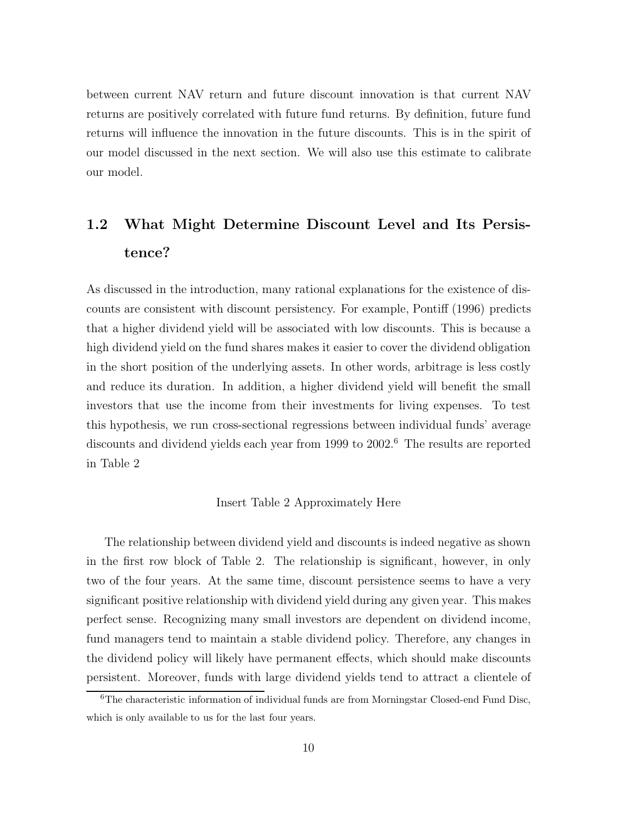between current NAV return and future discount innovation is that current NAV returns are positively correlated with future fund returns. By definition, future fund returns will influence the innovation in the future discounts. This is in the spirit of our model discussed in the next section. We will also use this estimate to calibrate our model.

# **1.2 What Might Determine Discount Level and Its Persistence?**

As discussed in the introduction, many rational explanations for the existence of discounts are consistent with discount persistency. For example, Pontiff (1996) predicts that a higher dividend yield will be associated with low discounts. This is because a high dividend yield on the fund shares makes it easier to cover the dividend obligation in the short position of the underlying assets. In other words, arbitrage is less costly and reduce its duration. In addition, a higher dividend yield will benefit the small investors that use the income from their investments for living expenses. To test this hypothesis, we run cross-sectional regressions between individual funds' average discounts and dividend yields each year from 1999 to 2002.<sup>6</sup> The results are reported in Table 2

#### Insert Table 2 Approximately Here

The relationship between dividend yield and discounts is indeed negative as shown in the first row block of Table 2. The relationship is significant, however, in only two of the four years. At the same time, discount persistence seems to have a very significant positive relationship with dividend yield during any given year. This makes perfect sense. Recognizing many small investors are dependent on dividend income, fund managers tend to maintain a stable dividend policy. Therefore, any changes in the dividend policy will likely have permanent effects, which should make discounts persistent. Moreover, funds with large dividend yields tend to attract a clientele of

<sup>6</sup>The characteristic information of individual funds are from Morningstar Closed-end Fund Disc, which is only available to us for the last four years.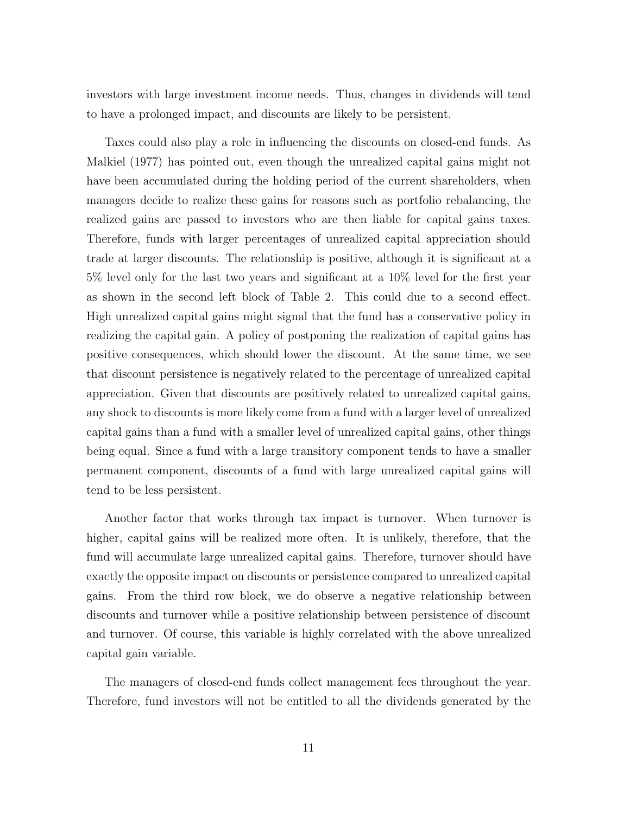investors with large investment income needs. Thus, changes in dividends will tend to have a prolonged impact, and discounts are likely to be persistent.

Taxes could also play a role in influencing the discounts on closed-end funds. As Malkiel (1977) has pointed out, even though the unrealized capital gains might not have been accumulated during the holding period of the current shareholders, when managers decide to realize these gains for reasons such as portfolio rebalancing, the realized gains are passed to investors who are then liable for capital gains taxes. Therefore, funds with larger percentages of unrealized capital appreciation should trade at larger discounts. The relationship is positive, although it is significant at a 5% level only for the last two years and significant at a 10% level for the first year as shown in the second left block of Table 2. This could due to a second effect. High unrealized capital gains might signal that the fund has a conservative policy in realizing the capital gain. A policy of postponing the realization of capital gains has positive consequences, which should lower the discount. At the same time, we see that discount persistence is negatively related to the percentage of unrealized capital appreciation. Given that discounts are positively related to unrealized capital gains, any shock to discounts is more likely come from a fund with a larger level of unrealized capital gains than a fund with a smaller level of unrealized capital gains, other things being equal. Since a fund with a large transitory component tends to have a smaller permanent component, discounts of a fund with large unrealized capital gains will tend to be less persistent.

Another factor that works through tax impact is turnover. When turnover is higher, capital gains will be realized more often. It is unlikely, therefore, that the fund will accumulate large unrealized capital gains. Therefore, turnover should have exactly the opposite impact on discounts or persistence compared to unrealized capital gains. From the third row block, we do observe a negative relationship between discounts and turnover while a positive relationship between persistence of discount and turnover. Of course, this variable is highly correlated with the above unrealized capital gain variable.

The managers of closed-end funds collect management fees throughout the year. Therefore, fund investors will not be entitled to all the dividends generated by the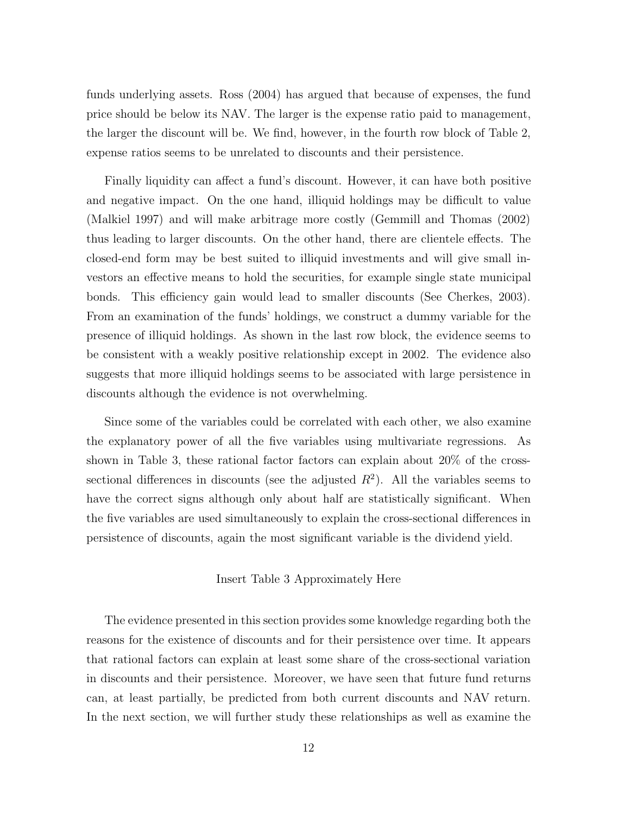funds underlying assets. Ross (2004) has argued that because of expenses, the fund price should be below its NAV. The larger is the expense ratio paid to management, the larger the discount will be. We find, however, in the fourth row block of Table 2, expense ratios seems to be unrelated to discounts and their persistence.

Finally liquidity can affect a fund's discount. However, it can have both positive and negative impact. On the one hand, illiquid holdings may be difficult to value (Malkiel 1997) and will make arbitrage more costly (Gemmill and Thomas (2002) thus leading to larger discounts. On the other hand, there are clientele effects. The closed-end form may be best suited to illiquid investments and will give small investors an effective means to hold the securities, for example single state municipal bonds. This efficiency gain would lead to smaller discounts (See Cherkes, 2003). From an examination of the funds' holdings, we construct a dummy variable for the presence of illiquid holdings. As shown in the last row block, the evidence seems to be consistent with a weakly positive relationship except in 2002. The evidence also suggests that more illiquid holdings seems to be associated with large persistence in discounts although the evidence is not overwhelming.

Since some of the variables could be correlated with each other, we also examine the explanatory power of all the five variables using multivariate regressions. As shown in Table 3, these rational factor factors can explain about 20% of the crosssectional differences in discounts (see the adjusted  $R^2$ ). All the variables seems to have the correct signs although only about half are statistically significant. When the five variables are used simultaneously to explain the cross-sectional differences in persistence of discounts, again the most significant variable is the dividend yield.

#### Insert Table 3 Approximately Here

The evidence presented in this section provides some knowledge regarding both the reasons for the existence of discounts and for their persistence over time. It appears that rational factors can explain at least some share of the cross-sectional variation in discounts and their persistence. Moreover, we have seen that future fund returns can, at least partially, be predicted from both current discounts and NAV return. In the next section, we will further study these relationships as well as examine the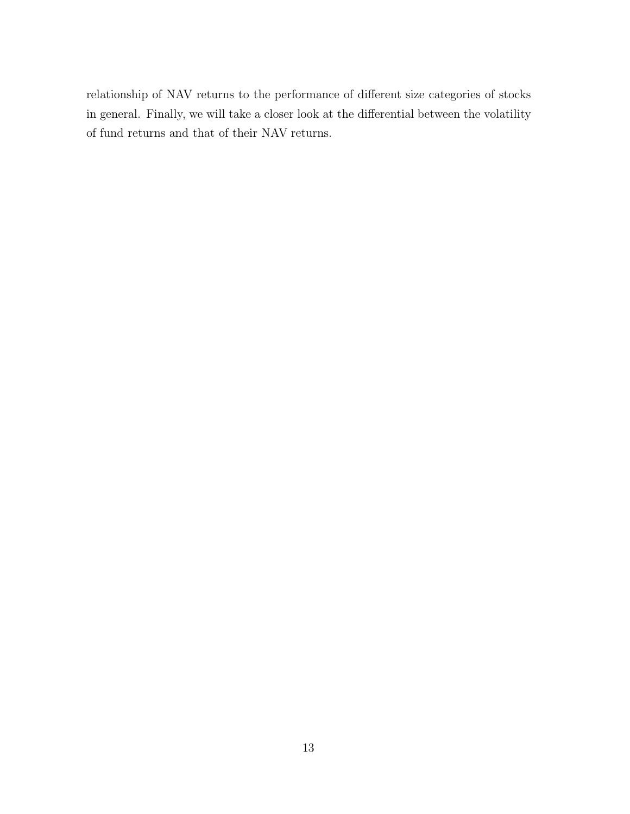relationship of NAV returns to the performance of different size categories of stocks in general. Finally, we will take a closer look at the differential between the volatility of fund returns and that of their NAV returns.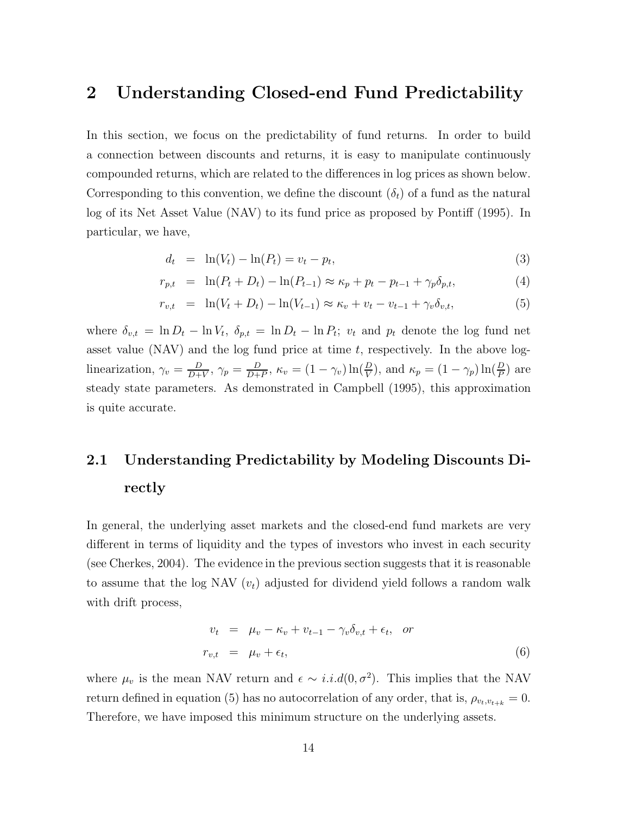### **2 Understanding Closed-end Fund Predictability**

In this section, we focus on the predictability of fund returns. In order to build a connection between discounts and returns, it is easy to manipulate continuously compounded returns, which are related to the differences in log prices as shown below. Corresponding to this convention, we define the discount  $(\delta_t)$  of a fund as the natural log of its Net Asset Value (NAV) to its fund price as proposed by Pontiff (1995). In particular, we have,

$$
d_t = \ln(V_t) - \ln(P_t) = v_t - p_t,
$$
\n(3)

$$
r_{p,t} = \ln(P_t + D_t) - \ln(P_{t-1}) \approx \kappa_p + p_t - p_{t-1} + \gamma_p \delta_{p,t},
$$
\n(4)

$$
r_{v,t} = \ln(V_t + D_t) - \ln(V_{t-1}) \approx \kappa_v + v_t - v_{t-1} + \gamma_v \delta_{v,t},
$$
\n(5)

where  $\delta_{v,t} = \ln D_t - \ln V_t$ ,  $\delta_{p,t} = \ln D_t - \ln P_t$ ;  $v_t$  and  $p_t$  denote the log fund net asset value (NAV) and the log fund price at time  $t$ , respectively. In the above loglinearization,  $\gamma_v = \frac{D}{D+V}$ ,  $\gamma_p = \frac{D}{D+P}$ ,  $\kappa_v = (1 - \gamma_v) \ln(\frac{D}{V})$ , and  $\kappa_p = (1 - \gamma_p) \ln(\frac{D}{P})$  are steady state parameters. As demonstrated in Campbell (1995), this approximation is quite accurate.

# **2.1 Understanding Predictability by Modeling Discounts Directly**

In general, the underlying asset markets and the closed-end fund markets are very different in terms of liquidity and the types of investors who invest in each security (see Cherkes, 2004). The evidence in the previous section suggests that it is reasonable to assume that the log NAV  $(v_t)$  adjusted for dividend yield follows a random walk with drift process,

$$
v_t = \mu_v - \kappa_v + v_{t-1} - \gamma_v \delta_{v,t} + \epsilon_t, \quad or
$$
  

$$
r_{v,t} = \mu_v + \epsilon_t,
$$
 (6)

where  $\mu_v$  is the mean NAV return and  $\epsilon \sim i.i.d(0,\sigma^2)$ . This implies that the NAV return defined in equation (5) has no autocorrelation of any order, that is,  $\rho_{v_t,v_{t+k}} = 0$ . Therefore, we have imposed this minimum structure on the underlying assets.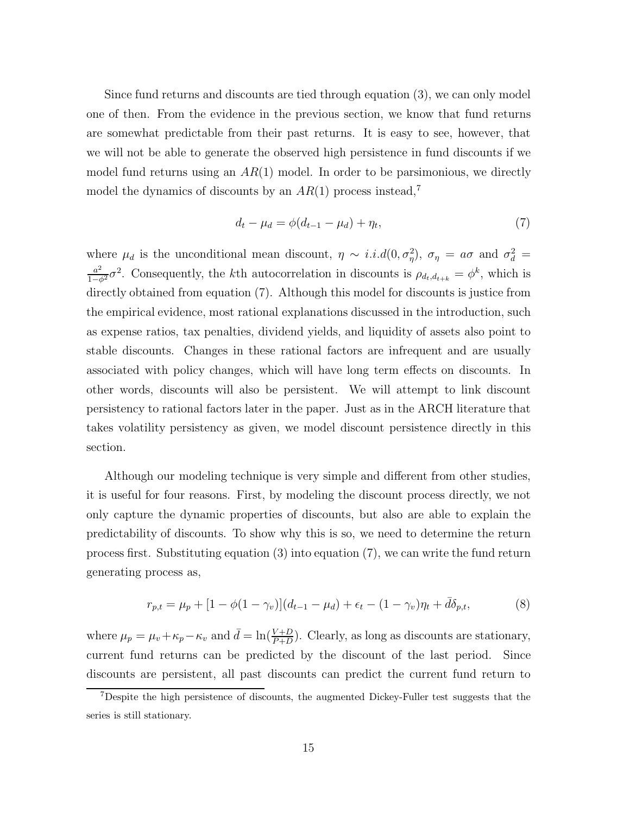Since fund returns and discounts are tied through equation (3), we can only model one of then. From the evidence in the previous section, we know that fund returns are somewhat predictable from their past returns. It is easy to see, however, that we will not be able to generate the observed high persistence in fund discounts if we model fund returns using an  $AR(1)$  model. In order to be parsimonious, we directly model the dynamics of discounts by an  $AR(1)$  process instead,<sup>7</sup>

$$
d_t - \mu_d = \phi(d_{t-1} - \mu_d) + \eta_t,\tag{7}
$$

where  $\mu_d$  is the unconditional mean discount,  $\eta \sim i.i.d(0,\sigma_\eta^2)$ ,  $\sigma_\eta = a\sigma$  and  $\sigma_d^2 =$  $\frac{a^2}{1-\phi^2}\sigma^2$ . Consequently, the k<sup>th</sup> autocorrelation in discounts is  $\rho_{d_t,d_{t+k}} = \phi^k$ , which is directly obtained from equation (7). Although this model for discounts is justice from the empirical evidence, most rational explanations discussed in the introduction, such as expense ratios, tax penalties, dividend yields, and liquidity of assets also point to stable discounts. Changes in these rational factors are infrequent and are usually associated with policy changes, which will have long term effects on discounts. In other words, discounts will also be persistent. We will attempt to link discount persistency to rational factors later in the paper. Just as in the ARCH literature that takes volatility persistency as given, we model discount persistence directly in this section.

Although our modeling technique is very simple and different from other studies, it is useful for four reasons. First, by modeling the discount process directly, we not only capture the dynamic properties of discounts, but also are able to explain the predictability of discounts. To show why this is so, we need to determine the return process first. Substituting equation (3) into equation (7), we can write the fund return generating process as,

$$
r_{p,t} = \mu_p + [1 - \phi(1 - \gamma_v)](d_{t-1} - \mu_d) + \epsilon_t - (1 - \gamma_v)\eta_t + \bar{d}\delta_{p,t},
$$
\n(8)

where  $\mu_p = \mu_v + \kappa_p - \kappa_v$  and  $\bar{d} = \ln(\frac{V+D}{P+D})$ . Clearly, as long as discounts are stationary, current fund returns can be predicted by the discount of the last period. Since discounts are persistent, all past discounts can predict the current fund return to

<sup>7</sup>Despite the high persistence of discounts, the augmented Dickey-Fuller test suggests that the series is still stationary.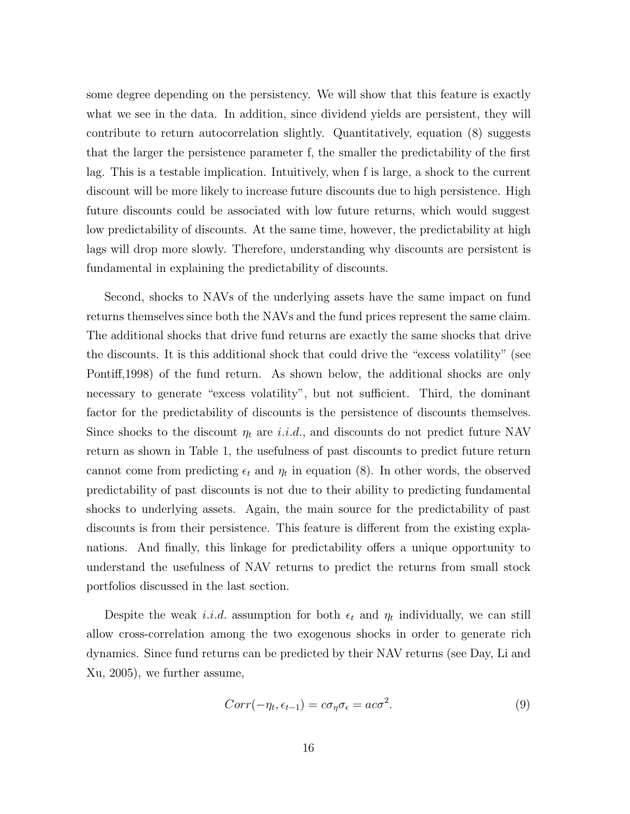some degree depending on the persistency. We will show that this feature is exactly what we see in the data. In addition, since dividend yields are persistent, they will contribute to return autocorrelation slightly. Quantitatively, equation (8) suggests that the larger the persistence parameter f, the smaller the predictability of the first lag. This is a testable implication. Intuitively, when f is large, a shock to the current discount will be more likely to increase future discounts due to high persistence. High future discounts could be associated with low future returns, which would suggest low predictability of discounts. At the same time, however, the predictability at high lags will drop more slowly. Therefore, understanding why discounts are persistent is fundamental in explaining the predictability of discounts.

Second, shocks to NAVs of the underlying assets have the same impact on fund returns themselves since both the NAVs and the fund prices represent the same claim. The additional shocks that drive fund returns are exactly the same shocks that drive the discounts. It is this additional shock that could drive the "excess volatility" (see Pontiff,1998) of the fund return. As shown below, the additional shocks are only necessary to generate "excess volatility", but not sufficient. Third, the dominant factor for the predictability of discounts is the persistence of discounts themselves. Since shocks to the discount  $\eta_t$  are *i.i.d.*, and discounts do not predict future NAV return as shown in Table 1, the usefulness of past discounts to predict future return cannot come from predicting  $\epsilon_t$  and  $\eta_t$  in equation (8). In other words, the observed predictability of past discounts is not due to their ability to predicting fundamental shocks to underlying assets. Again, the main source for the predictability of past discounts is from their persistence. This feature is different from the existing explanations. And finally, this linkage for predictability offers a unique opportunity to understand the usefulness of NAV returns to predict the returns from small stock portfolios discussed in the last section.

Despite the weak i.i.d. assumption for both  $\epsilon_t$  and  $\eta_t$  individually, we can still allow cross-correlation among the two exogenous shocks in order to generate rich dynamics. Since fund returns can be predicted by their NAV returns (see Day, Li and Xu, 2005), we further assume,

$$
Corr(-\eta_t, \epsilon_{t-1}) = c\sigma_\eta \sigma_\epsilon = ac\sigma^2. \tag{9}
$$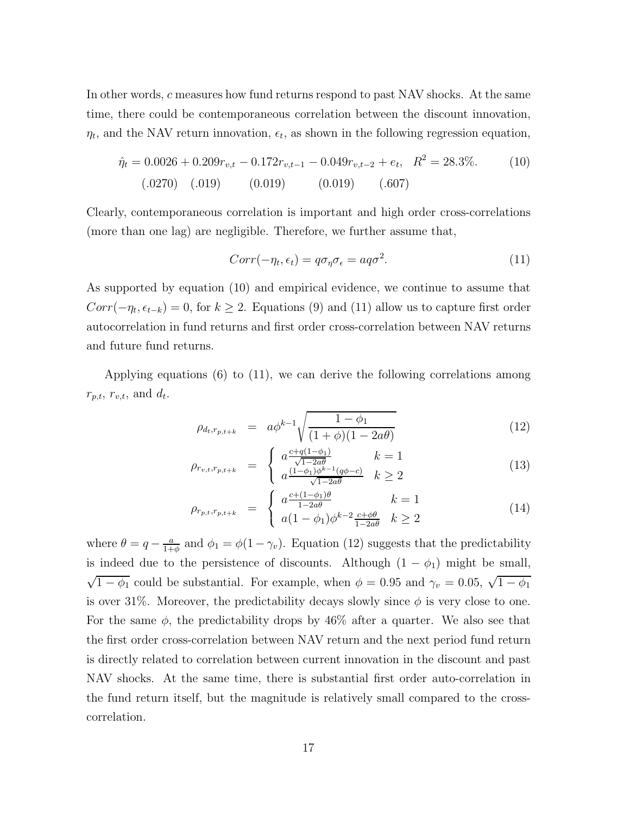In other words, c measures how fund returns respond to past NAV shocks. At the same time, there could be contemporaneous correlation between the discount innovation,  $\eta_t$ , and the NAV return innovation,  $\epsilon_t$ , as shown in the following regression equation,

$$
\hat{\eta}_t = 0.0026 + 0.209r_{v,t} - 0.172r_{v,t-1} - 0.049r_{v,t-2} + e_t, \quad R^2 = 28.3\%.
$$
\n(10)  
\n(0.019) (0.019) (0.019) (0.019)

Clearly, contemporaneous correlation is important and high order cross-correlations (more than one lag) are negligible. Therefore, we further assume that,

$$
Corr(-\eta_t, \epsilon_t) = q\sigma_\eta \sigma_\epsilon = aq\sigma^2. \tag{11}
$$

As supported by equation (10) and empirical evidence, we continue to assume that  $Corr(-\eta_t, \epsilon_{t-k}) = 0$ , for  $k \geq 2$ . Equations (9) and (11) allow us to capture first order autocorrelation in fund returns and first order cross-correlation between NAV returns and future fund returns.

Applying equations (6) to (11), we can derive the following correlations among  $r_{p,t}, r_{v,t},$  and  $d_t$ .

$$
\rho_{d_t, r_{p,t+k}} = a\phi^{k-1} \sqrt{\frac{1 - \phi_1}{(1 + \phi)(1 - 2a\theta)}}
$$
(12)

$$
\rho_{r_{v,t},r_{p,t+k}} = \begin{cases} a \frac{c + q(1 - \phi_1)}{\sqrt{1 - 2a\theta}} & k = 1\\ a \frac{(1 - \phi_1)\phi^{k-1}(q\phi - c)}{\sqrt{1 - 2a\theta}} & k \ge 2 \end{cases}
$$
(13)

$$
\rho_{r_{p,t},r_{p,t+k}} = \begin{cases} a \frac{c + (1 - \phi_1)\theta}{1 - 2a\theta} & k = 1\\ a(1 - \phi_1)\phi^{k-2} \frac{c + \phi\theta}{1 - 2a\theta} & k \ge 2 \end{cases}
$$
(14)

where  $\theta = q - \frac{a}{1+\phi}$  and  $\phi_1 = \phi(1-\gamma_v)$ . Equation (12) suggests that the predictability is indeed due to the persistence of discounts. Although  $(1 - \phi_1)$  might be small,  $\sqrt{1-\phi_1}$  could be substantial. For example, when  $\phi = 0.95$  and  $\gamma_v = 0.05$ ,  $\sqrt{1-\phi_1}$ is over 31%. Moreover, the predictability decays slowly since  $\phi$  is very close to one. For the same  $\phi$ , the predictability drops by 46% after a quarter. We also see that the first order cross-correlation between NAV return and the next period fund return is directly related to correlation between current innovation in the discount and past NAV shocks. At the same time, there is substantial first order auto-correlation in the fund return itself, but the magnitude is relatively small compared to the crosscorrelation.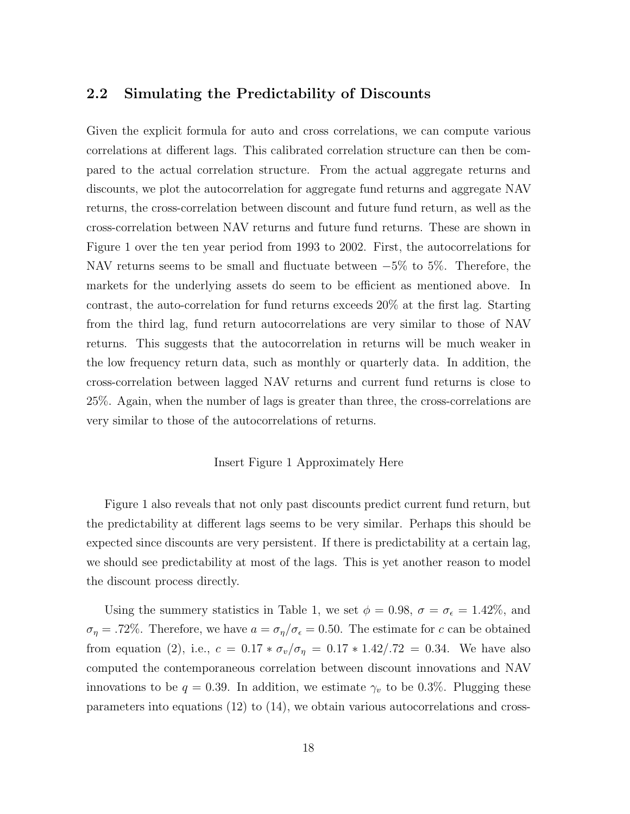#### **2.2 Simulating the Predictability of Discounts**

Given the explicit formula for auto and cross correlations, we can compute various correlations at different lags. This calibrated correlation structure can then be compared to the actual correlation structure. From the actual aggregate returns and discounts, we plot the autocorrelation for aggregate fund returns and aggregate NAV returns, the cross-correlation between discount and future fund return, as well as the cross-correlation between NAV returns and future fund returns. These are shown in Figure 1 over the ten year period from 1993 to 2002. First, the autocorrelations for NAV returns seems to be small and fluctuate between −5% to 5%. Therefore, the markets for the underlying assets do seem to be efficient as mentioned above. In contrast, the auto-correlation for fund returns exceeds 20% at the first lag. Starting from the third lag, fund return autocorrelations are very similar to those of NAV returns. This suggests that the autocorrelation in returns will be much weaker in the low frequency return data, such as monthly or quarterly data. In addition, the cross-correlation between lagged NAV returns and current fund returns is close to 25%. Again, when the number of lags is greater than three, the cross-correlations are very similar to those of the autocorrelations of returns.

#### Insert Figure 1 Approximately Here

Figure 1 also reveals that not only past discounts predict current fund return, but the predictability at different lags seems to be very similar. Perhaps this should be expected since discounts are very persistent. If there is predictability at a certain lag, we should see predictability at most of the lags. This is yet another reason to model the discount process directly.

Using the summery statistics in Table 1, we set  $\phi = 0.98$ ,  $\sigma = \sigma_{\epsilon} = 1.42\%$ , and  $\sigma_{\eta} = .72\%$ . Therefore, we have  $a = \sigma_{\eta}/\sigma_{\epsilon} = 0.50$ . The estimate for c can be obtained from equation (2), i.e.,  $c = 0.17 * \sigma_v / \sigma_{\eta} = 0.17 * 1.42 / .72 = 0.34$ . We have also computed the contemporaneous correlation between discount innovations and NAV innovations to be  $q = 0.39$ . In addition, we estimate  $\gamma_v$  to be 0.3%. Plugging these parameters into equations (12) to (14), we obtain various autocorrelations and cross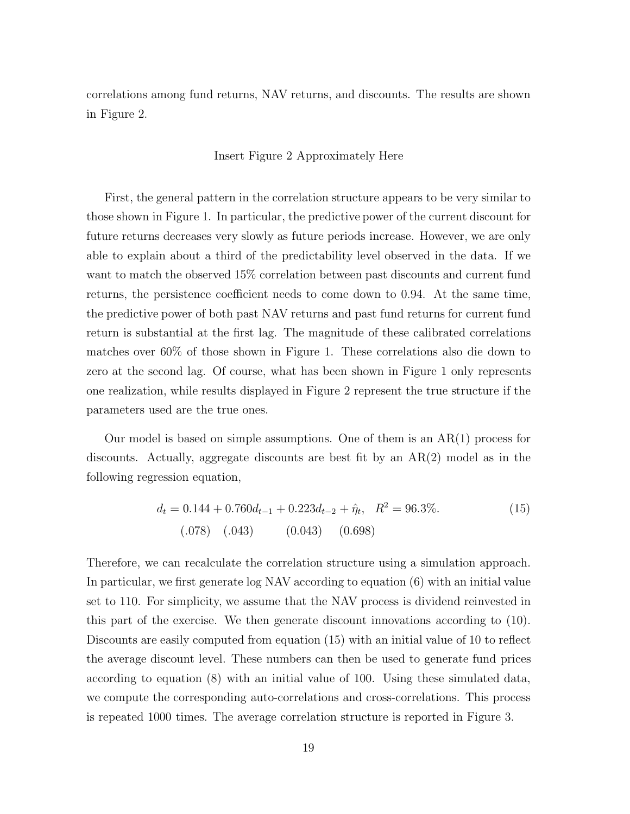correlations among fund returns, NAV returns, and discounts. The results are shown in Figure 2.

#### Insert Figure 2 Approximately Here

First, the general pattern in the correlation structure appears to be very similar to those shown in Figure 1. In particular, the predictive power of the current discount for future returns decreases very slowly as future periods increase. However, we are only able to explain about a third of the predictability level observed in the data. If we want to match the observed 15% correlation between past discounts and current fund returns, the persistence coefficient needs to come down to 0.94. At the same time, the predictive power of both past NAV returns and past fund returns for current fund return is substantial at the first lag. The magnitude of these calibrated correlations matches over 60% of those shown in Figure 1. These correlations also die down to zero at the second lag. Of course, what has been shown in Figure 1 only represents one realization, while results displayed in Figure 2 represent the true structure if the parameters used are the true ones.

Our model is based on simple assumptions. One of them is an AR(1) process for discounts. Actually, aggregate discounts are best fit by an AR(2) model as in the following regression equation,

$$
d_t = 0.144 + 0.760d_{t-1} + 0.223d_{t-2} + \hat{\eta}_t, \quad R^2 = 96.3\%.
$$
\n
$$
(0.078) \quad (0.043) \quad (0.043) \quad (0.698)
$$
\n
$$
(0.043) \quad (0.045)
$$

Therefore, we can recalculate the correlation structure using a simulation approach. In particular, we first generate log NAV according to equation (6) with an initial value set to 110. For simplicity, we assume that the NAV process is dividend reinvested in this part of the exercise. We then generate discount innovations according to (10). Discounts are easily computed from equation (15) with an initial value of 10 to reflect the average discount level. These numbers can then be used to generate fund prices according to equation (8) with an initial value of 100. Using these simulated data, we compute the corresponding auto-correlations and cross-correlations. This process is repeated 1000 times. The average correlation structure is reported in Figure 3.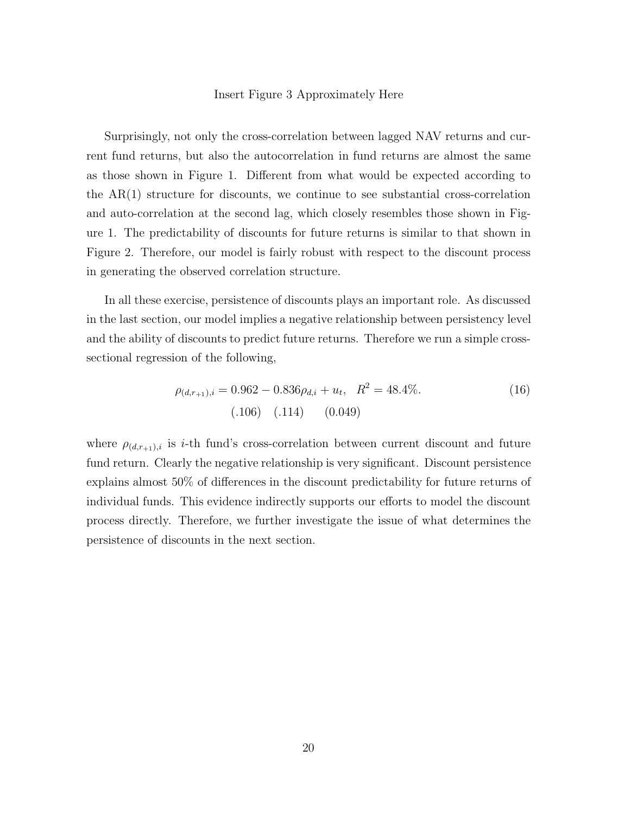#### Insert Figure 3 Approximately Here

Surprisingly, not only the cross-correlation between lagged NAV returns and current fund returns, but also the autocorrelation in fund returns are almost the same as those shown in Figure 1. Different from what would be expected according to the  $AR(1)$  structure for discounts, we continue to see substantial cross-correlation and auto-correlation at the second lag, which closely resembles those shown in Figure 1. The predictability of discounts for future returns is similar to that shown in Figure 2. Therefore, our model is fairly robust with respect to the discount process in generating the observed correlation structure.

In all these exercise, persistence of discounts plays an important role. As discussed in the last section, our model implies a negative relationship between persistency level and the ability of discounts to predict future returns. Therefore we run a simple crosssectional regression of the following,

$$
\rho_{(d,r_{+1}),i} = 0.962 - 0.836\rho_{d,i} + u_t, \quad R^2 = 48.4\%.
$$
\n(16)\n(106)\n(114)\n(0.049)

where  $\rho_{(d,r_{+1}),i}$  is *i*-th fund's cross-correlation between current discount and future fund return. Clearly the negative relationship is very significant. Discount persistence explains almost 50% of differences in the discount predictability for future returns of individual funds. This evidence indirectly supports our efforts to model the discount process directly. Therefore, we further investigate the issue of what determines the persistence of discounts in the next section.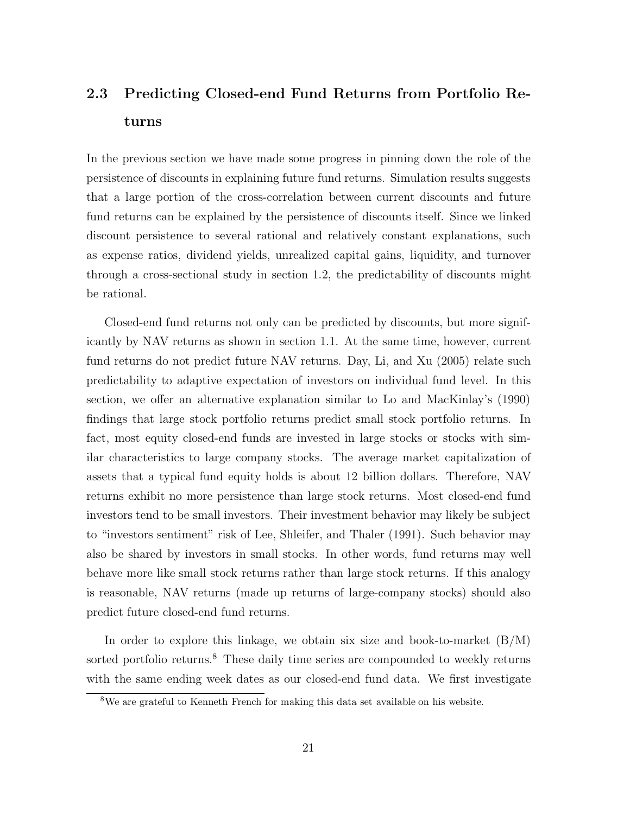# **2.3 Predicting Closed-end Fund Returns from Portfolio Returns**

In the previous section we have made some progress in pinning down the role of the persistence of discounts in explaining future fund returns. Simulation results suggests that a large portion of the cross-correlation between current discounts and future fund returns can be explained by the persistence of discounts itself. Since we linked discount persistence to several rational and relatively constant explanations, such as expense ratios, dividend yields, unrealized capital gains, liquidity, and turnover through a cross-sectional study in section 1.2, the predictability of discounts might be rational.

Closed-end fund returns not only can be predicted by discounts, but more significantly by NAV returns as shown in section 1.1. At the same time, however, current fund returns do not predict future NAV returns. Day, Li, and Xu (2005) relate such predictability to adaptive expectation of investors on individual fund level. In this section, we offer an alternative explanation similar to Lo and MacKinlay's (1990) findings that large stock portfolio returns predict small stock portfolio returns. In fact, most equity closed-end funds are invested in large stocks or stocks with similar characteristics to large company stocks. The average market capitalization of assets that a typical fund equity holds is about 12 billion dollars. Therefore, NAV returns exhibit no more persistence than large stock returns. Most closed-end fund investors tend to be small investors. Their investment behavior may likely be subject to "investors sentiment" risk of Lee, Shleifer, and Thaler (1991). Such behavior may also be shared by investors in small stocks. In other words, fund returns may well behave more like small stock returns rather than large stock returns. If this analogy is reasonable, NAV returns (made up returns of large-company stocks) should also predict future closed-end fund returns.

In order to explore this linkage, we obtain six size and book-to-market  $(B/M)$ sorted portfolio returns.<sup>8</sup> These daily time series are compounded to weekly returns with the same ending week dates as our closed-end fund data. We first investigate

<sup>8</sup>We are grateful to Kenneth French for making this data set available on his website.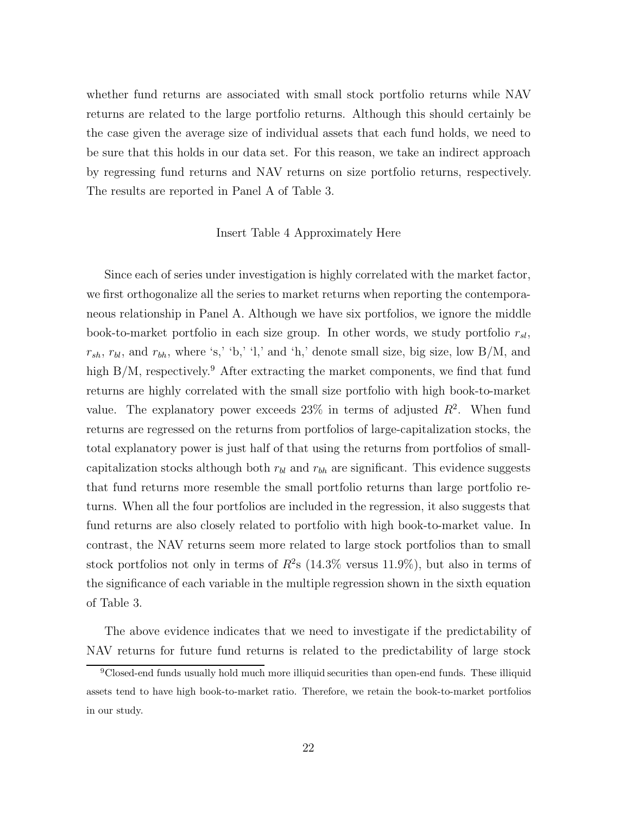whether fund returns are associated with small stock portfolio returns while NAV returns are related to the large portfolio returns. Although this should certainly be the case given the average size of individual assets that each fund holds, we need to be sure that this holds in our data set. For this reason, we take an indirect approach by regressing fund returns and NAV returns on size portfolio returns, respectively. The results are reported in Panel A of Table 3.

#### Insert Table 4 Approximately Here

Since each of series under investigation is highly correlated with the market factor, we first orthogonalize all the series to market returns when reporting the contemporaneous relationship in Panel A. Although we have six portfolios, we ignore the middle book-to-market portfolio in each size group. In other words, we study portfolio  $r_{sl}$ ,  $r_{sh}$ ,  $r_{bl}$ , and  $r_{bh}$ , where 's,' 'b,' 'l,' and 'h,' denote small size, big size, low B/M, and high  $B/M$ , respectively.<sup>9</sup> After extracting the market components, we find that fund returns are highly correlated with the small size portfolio with high book-to-market value. The explanatory power exceeds  $23\%$  in terms of adjusted  $R^2$ . When fund returns are regressed on the returns from portfolios of large-capitalization stocks, the total explanatory power is just half of that using the returns from portfolios of smallcapitalization stocks although both  $r_{bl}$  and  $r_{bh}$  are significant. This evidence suggests that fund returns more resemble the small portfolio returns than large portfolio returns. When all the four portfolios are included in the regression, it also suggests that fund returns are also closely related to portfolio with high book-to-market value. In contrast, the NAV returns seem more related to large stock portfolios than to small stock portfolios not only in terms of  $R^2$ s (14.3% versus 11.9%), but also in terms of the significance of each variable in the multiple regression shown in the sixth equation of Table 3.

The above evidence indicates that we need to investigate if the predictability of NAV returns for future fund returns is related to the predictability of large stock

<sup>&</sup>lt;sup>9</sup>Closed-end funds usually hold much more illiquid securities than open-end funds. These illiquid assets tend to have high book-to-market ratio. Therefore, we retain the book-to-market portfolios in our study.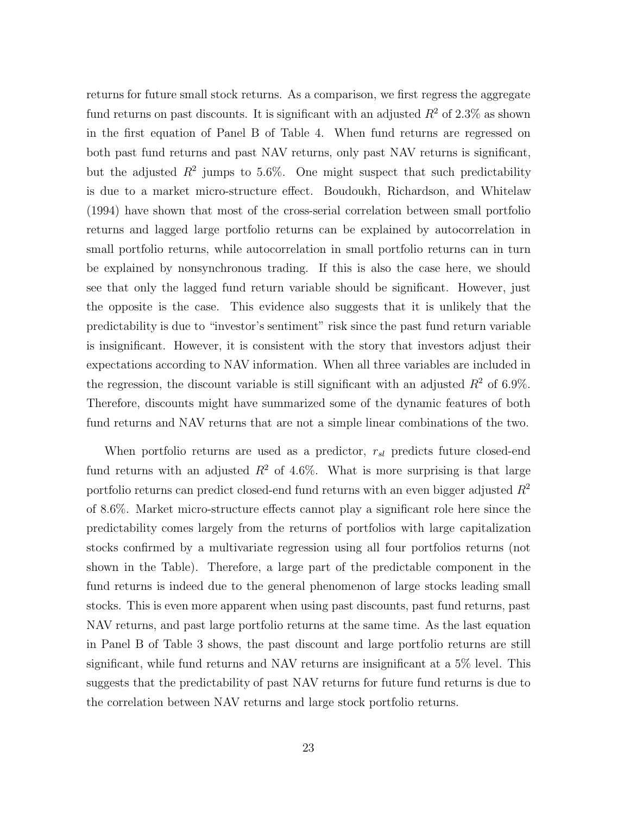returns for future small stock returns. As a comparison, we first regress the aggregate fund returns on past discounts. It is significant with an adjusted  $R^2$  of 2.3% as shown in the first equation of Panel B of Table 4. When fund returns are regressed on both past fund returns and past NAV returns, only past NAV returns is significant, but the adjusted  $R^2$  jumps to 5.6%. One might suspect that such predictability is due to a market micro-structure effect. Boudoukh, Richardson, and Whitelaw (1994) have shown that most of the cross-serial correlation between small portfolio returns and lagged large portfolio returns can be explained by autocorrelation in small portfolio returns, while autocorrelation in small portfolio returns can in turn be explained by nonsynchronous trading. If this is also the case here, we should see that only the lagged fund return variable should be significant. However, just the opposite is the case. This evidence also suggests that it is unlikely that the predictability is due to "investor's sentiment" risk since the past fund return variable is insignificant. However, it is consistent with the story that investors adjust their expectations according to NAV information. When all three variables are included in the regression, the discount variable is still significant with an adjusted  $R^2$  of 6.9%. Therefore, discounts might have summarized some of the dynamic features of both fund returns and NAV returns that are not a simple linear combinations of the two.

When portfolio returns are used as a predictor,  $r_{sl}$  predicts future closed-end fund returns with an adjusted  $R^2$  of 4.6%. What is more surprising is that large portfolio returns can predict closed-end fund returns with an even bigger adjusted  $R^2$ of 8.6%. Market micro-structure effects cannot play a significant role here since the predictability comes largely from the returns of portfolios with large capitalization stocks confirmed by a multivariate regression using all four portfolios returns (not shown in the Table). Therefore, a large part of the predictable component in the fund returns is indeed due to the general phenomenon of large stocks leading small stocks. This is even more apparent when using past discounts, past fund returns, past NAV returns, and past large portfolio returns at the same time. As the last equation in Panel B of Table 3 shows, the past discount and large portfolio returns are still significant, while fund returns and NAV returns are insignificant at a 5% level. This suggests that the predictability of past NAV returns for future fund returns is due to the correlation between NAV returns and large stock portfolio returns.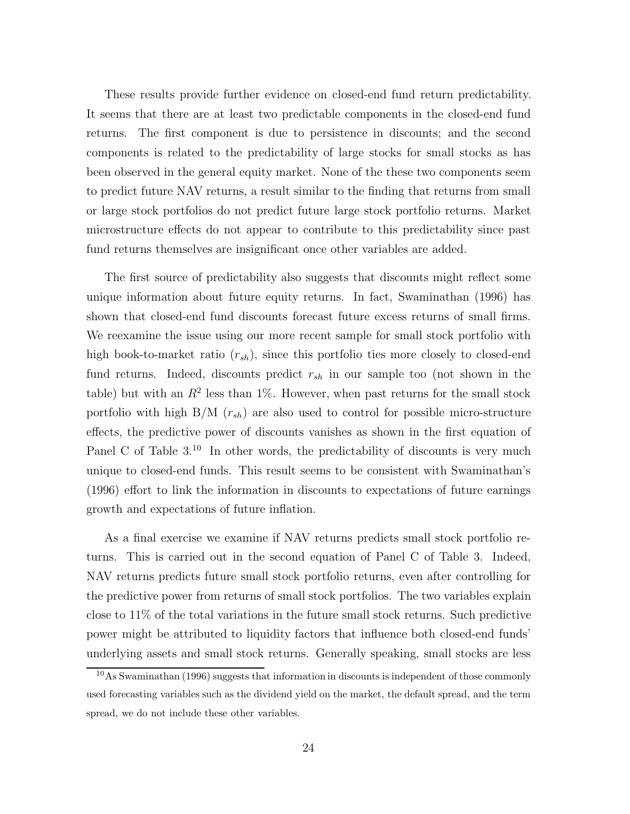These results provide further evidence on closed-end fund return predictability. It seems that there are at least two predictable components in the closed-end fund returns. The first component is due to persistence in discounts; and the second components is related to the predictability of large stocks for small stocks as has been observed in the general equity market. None of the these two components seem to predict future NAV returns, a result similar to the finding that returns from small or large stock portfolios do not predict future large stock portfolio returns. Market microstructure effects do not appear to contribute to this predictability since past fund returns themselves are insignificant once other variables are added.

The first source of predictability also suggests that discounts might reflect some unique information about future equity returns. In fact, Swaminathan (1996) has shown that closed-end fund discounts forecast future excess returns of small firms. We reexamine the issue using our more recent sample for small stock portfolio with high book-to-market ratio  $(r_{sh})$ , since this portfolio ties more closely to closed-end fund returns. Indeed, discounts predict  $r_{sh}$  in our sample too (not shown in the table) but with an  $R^2$  less than 1%. However, when past returns for the small stock portfolio with high B/M  $(r_{sh})$  are also used to control for possible micro-structure effects, the predictive power of discounts vanishes as shown in the first equation of Panel C of Table  $3^{10}$  In other words, the predictability of discounts is very much unique to closed-end funds. This result seems to be consistent with Swaminathan's (1996) effort to link the information in discounts to expectations of future earnings growth and expectations of future inflation.

As a final exercise we examine if NAV returns predicts small stock portfolio returns. This is carried out in the second equation of Panel C of Table 3. Indeed, NAV returns predicts future small stock portfolio returns, even after controlling for the predictive power from returns of small stock portfolios. The two variables explain close to 11% of the total variations in the future small stock returns. Such predictive power might be attributed to liquidity factors that influence both closed-end funds' underlying assets and small stock returns. Generally speaking, small stocks are less

<sup>&</sup>lt;sup>10</sup>As Swaminathan (1996) suggests that information in discounts is independent of those commonly used forecasting variables such as the dividend yield on the market, the default spread, and the term spread, we do not include these other variables.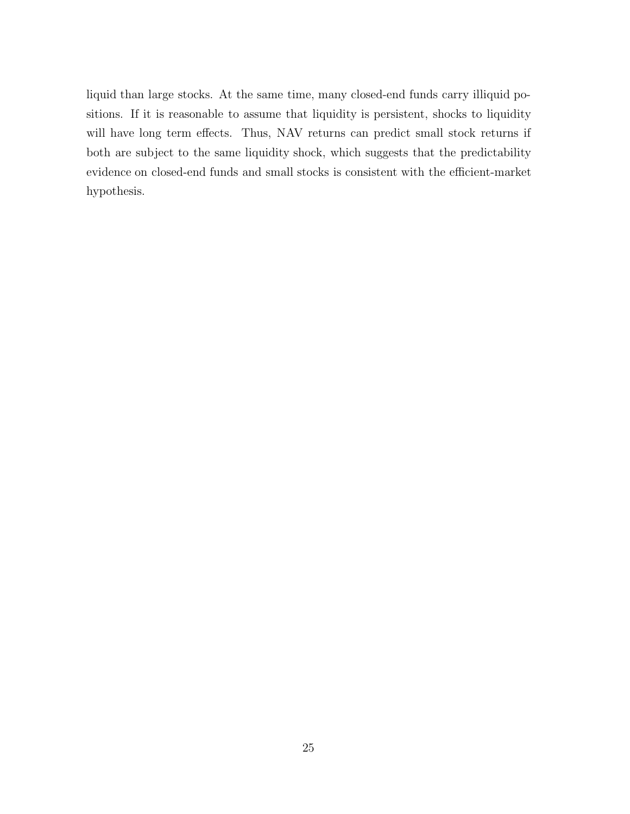liquid than large stocks. At the same time, many closed-end funds carry illiquid positions. If it is reasonable to assume that liquidity is persistent, shocks to liquidity will have long term effects. Thus, NAV returns can predict small stock returns if both are subject to the same liquidity shock, which suggests that the predictability evidence on closed-end funds and small stocks is consistent with the efficient-market hypothesis.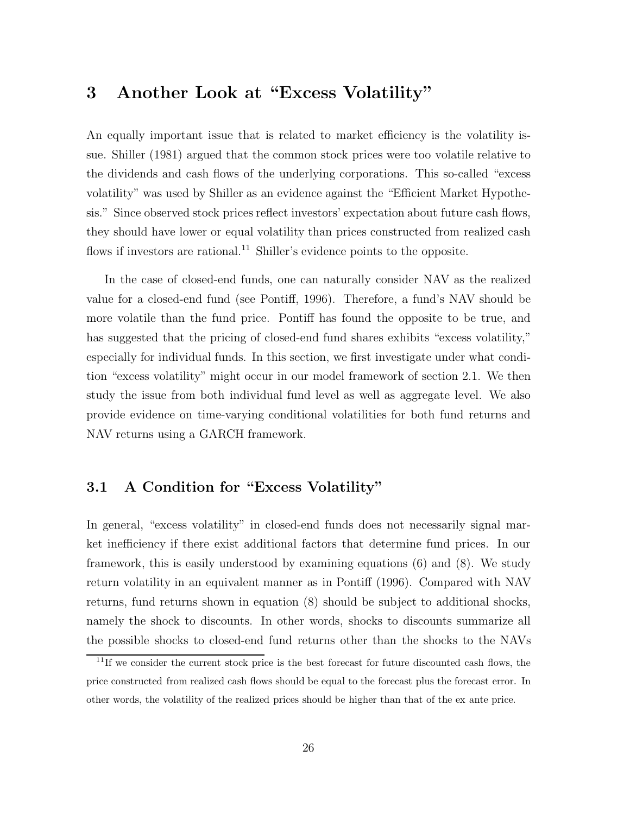## **3 Another Look at "Excess Volatility"**

An equally important issue that is related to market efficiency is the volatility issue. Shiller (1981) argued that the common stock prices were too volatile relative to the dividends and cash flows of the underlying corporations. This so-called "excess volatility" was used by Shiller as an evidence against the "Efficient Market Hypothesis." Since observed stock prices reflect investors' expectation about future cash flows, they should have lower or equal volatility than prices constructed from realized cash flows if investors are rational.<sup>11</sup> Shiller's evidence points to the opposite.

In the case of closed-end funds, one can naturally consider NAV as the realized value for a closed-end fund (see Pontiff, 1996). Therefore, a fund's NAV should be more volatile than the fund price. Pontiff has found the opposite to be true, and has suggested that the pricing of closed-end fund shares exhibits "excess volatility," especially for individual funds. In this section, we first investigate under what condition "excess volatility" might occur in our model framework of section 2.1. We then study the issue from both individual fund level as well as aggregate level. We also provide evidence on time-varying conditional volatilities for both fund returns and NAV returns using a GARCH framework.

### **3.1 A Condition for "Excess Volatility"**

In general, "excess volatility" in closed-end funds does not necessarily signal market inefficiency if there exist additional factors that determine fund prices. In our framework, this is easily understood by examining equations (6) and (8). We study return volatility in an equivalent manner as in Pontiff (1996). Compared with NAV returns, fund returns shown in equation (8) should be subject to additional shocks, namely the shock to discounts. In other words, shocks to discounts summarize all the possible shocks to closed-end fund returns other than the shocks to the NAVs

 $11$ If we consider the current stock price is the best forecast for future discounted cash flows, the price constructed from realized cash flows should be equal to the forecast plus the forecast error. In other words, the volatility of the realized prices should be higher than that of the ex ante price.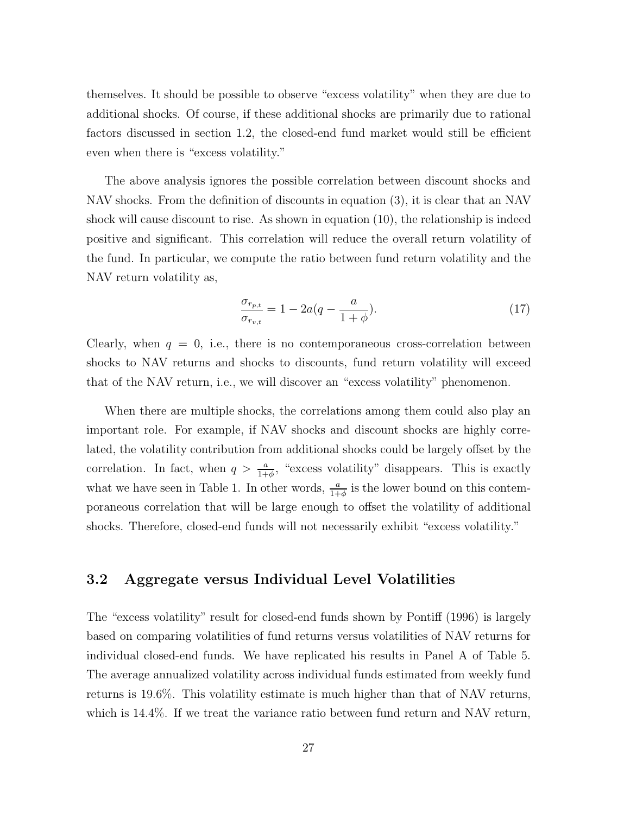themselves. It should be possible to observe "excess volatility" when they are due to additional shocks. Of course, if these additional shocks are primarily due to rational factors discussed in section 1.2, the closed-end fund market would still be efficient even when there is "excess volatility."

The above analysis ignores the possible correlation between discount shocks and NAV shocks. From the definition of discounts in equation (3), it is clear that an NAV shock will cause discount to rise. As shown in equation (10), the relationship is indeed positive and significant. This correlation will reduce the overall return volatility of the fund. In particular, we compute the ratio between fund return volatility and the NAV return volatility as,

$$
\frac{\sigma_{r_{p,t}}}{\sigma_{r_{v,t}}} = 1 - 2a(q - \frac{a}{1+\phi}).
$$
\n(17)

Clearly, when  $q = 0$ , i.e., there is no contemporaneous cross-correlation between shocks to NAV returns and shocks to discounts, fund return volatility will exceed that of the NAV return, i.e., we will discover an "excess volatility" phenomenon.

When there are multiple shocks, the correlations among them could also play an important role. For example, if NAV shocks and discount shocks are highly correlated, the volatility contribution from additional shocks could be largely offset by the correlation. In fact, when  $q > \frac{a}{1+\phi}$ , "excess volatility" disappears. This is exactly what we have seen in Table 1. In other words,  $\frac{a}{1+\phi}$  is the lower bound on this contemporaneous correlation that will be large enough to offset the volatility of additional shocks. Therefore, closed-end funds will not necessarily exhibit "excess volatility."

#### **3.2 Aggregate versus Individual Level Volatilities**

The "excess volatility" result for closed-end funds shown by Pontiff (1996) is largely based on comparing volatilities of fund returns versus volatilities of NAV returns for individual closed-end funds. We have replicated his results in Panel A of Table 5. The average annualized volatility across individual funds estimated from weekly fund returns is 19.6%. This volatility estimate is much higher than that of NAV returns, which is 14.4%. If we treat the variance ratio between fund return and NAV return,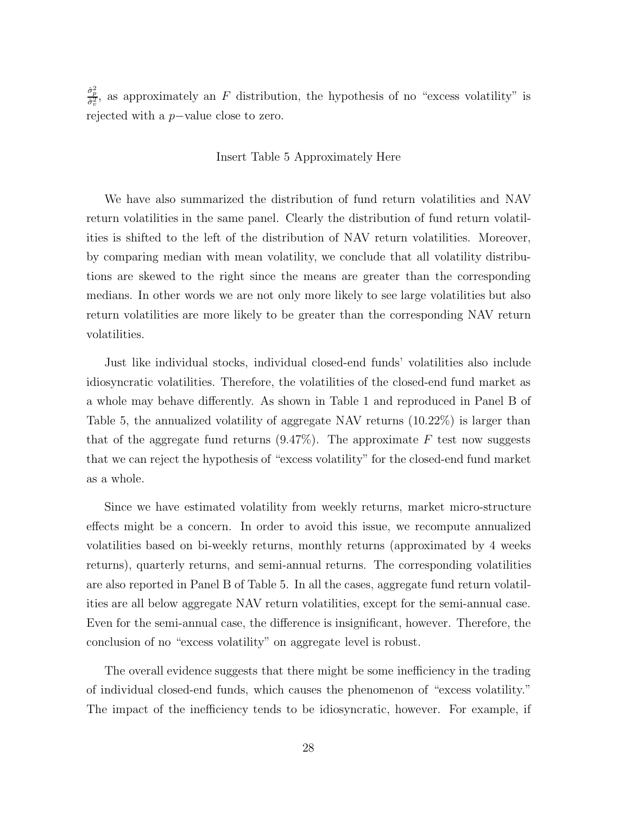$\frac{\hat{\sigma}_{p}^{2}}{\hat{\sigma}_{v}^{2}}$ , as approximately an F distribution, the hypothesis of no "excess volatility" is rejected with a <sup>p</sup>−value close to zero.

#### Insert Table 5 Approximately Here

We have also summarized the distribution of fund return volatilities and NAV return volatilities in the same panel. Clearly the distribution of fund return volatilities is shifted to the left of the distribution of NAV return volatilities. Moreover, by comparing median with mean volatility, we conclude that all volatility distributions are skewed to the right since the means are greater than the corresponding medians. In other words we are not only more likely to see large volatilities but also return volatilities are more likely to be greater than the corresponding NAV return volatilities.

Just like individual stocks, individual closed-end funds' volatilities also include idiosyncratic volatilities. Therefore, the volatilities of the closed-end fund market as a whole may behave differently. As shown in Table 1 and reproduced in Panel B of Table 5, the annualized volatility of aggregate NAV returns (10.22%) is larger than that of the aggregate fund returns  $(9.47\%)$ . The approximate F test now suggests that we can reject the hypothesis of "excess volatility" for the closed-end fund market as a whole.

Since we have estimated volatility from weekly returns, market micro-structure effects might be a concern. In order to avoid this issue, we recompute annualized volatilities based on bi-weekly returns, monthly returns (approximated by 4 weeks returns), quarterly returns, and semi-annual returns. The corresponding volatilities are also reported in Panel B of Table 5. In all the cases, aggregate fund return volatilities are all below aggregate NAV return volatilities, except for the semi-annual case. Even for the semi-annual case, the difference is insignificant, however. Therefore, the conclusion of no "excess volatility" on aggregate level is robust.

The overall evidence suggests that there might be some inefficiency in the trading of individual closed-end funds, which causes the phenomenon of "excess volatility." The impact of the inefficiency tends to be idiosyncratic, however. For example, if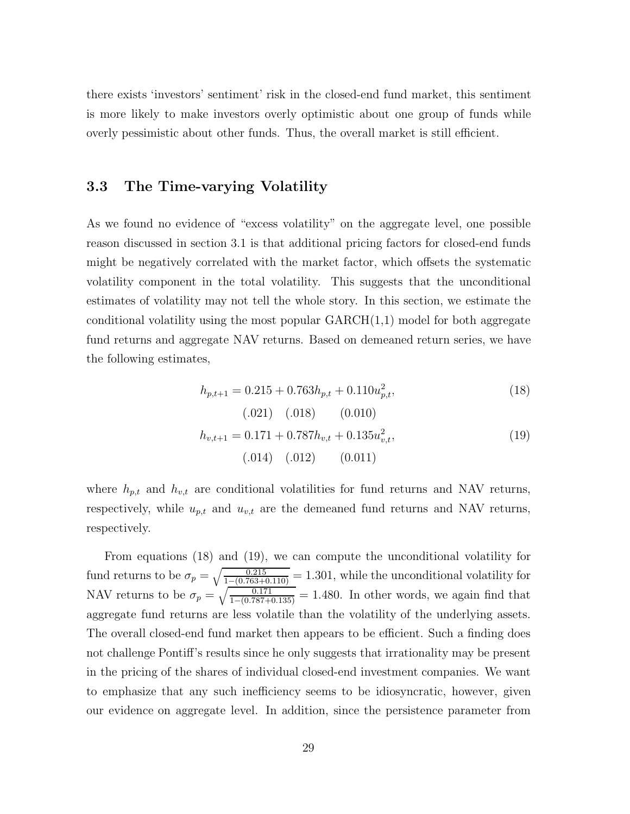there exists 'investors' sentiment' risk in the closed-end fund market, this sentiment is more likely to make investors overly optimistic about one group of funds while overly pessimistic about other funds. Thus, the overall market is still efficient.

#### **3.3 The Time-varying Volatility**

As we found no evidence of "excess volatility" on the aggregate level, one possible reason discussed in section 3.1 is that additional pricing factors for closed-end funds might be negatively correlated with the market factor, which offsets the systematic volatility component in the total volatility. This suggests that the unconditional estimates of volatility may not tell the whole story. In this section, we estimate the conditional volatility using the most popular  $GARCH(1,1)$  model for both aggregate fund returns and aggregate NAV returns. Based on demeaned return series, we have the following estimates,

$$
h_{p,t+1} = 0.215 + 0.763h_{p,t} + 0.110u_{p,t}^2,
$$
\n(18)  
\n(0.01) (0.018) (0.010)  
\n
$$
h_{v,t+1} = 0.171 + 0.787h_{v,t} + 0.135u_{v,t}^2,
$$
\n(19)

$$
(.014) \quad (.012) \qquad (0.011)
$$

where  $h_{p,t}$  and  $h_{v,t}$  are conditional volatilities for fund returns and NAV returns, respectively, while  $u_{p,t}$  and  $u_{v,t}$  are the demeaned fund returns and NAV returns, respectively.

From equations (18) and (19), we can compute the unconditional volatility for fund returns to be  $\sigma_p = \sqrt{\frac{0.215}{1 - (0.763 + 0.110)}} = 1.301$ , while the unconditional volatility for NAV returns to be  $\sigma_p = \sqrt{\frac{0.171}{1 - (0.787 + 0.135)}} = 1.480$ . In other words, we again find that aggregate fund returns are less volatile than the volatility of the underlying assets. The overall closed-end fund market then appears to be efficient. Such a finding does not challenge Pontiff's results since he only suggests that irrationality may be present in the pricing of the shares of individual closed-end investment companies. We want to emphasize that any such inefficiency seems to be idiosyncratic, however, given our evidence on aggregate level. In addition, since the persistence parameter from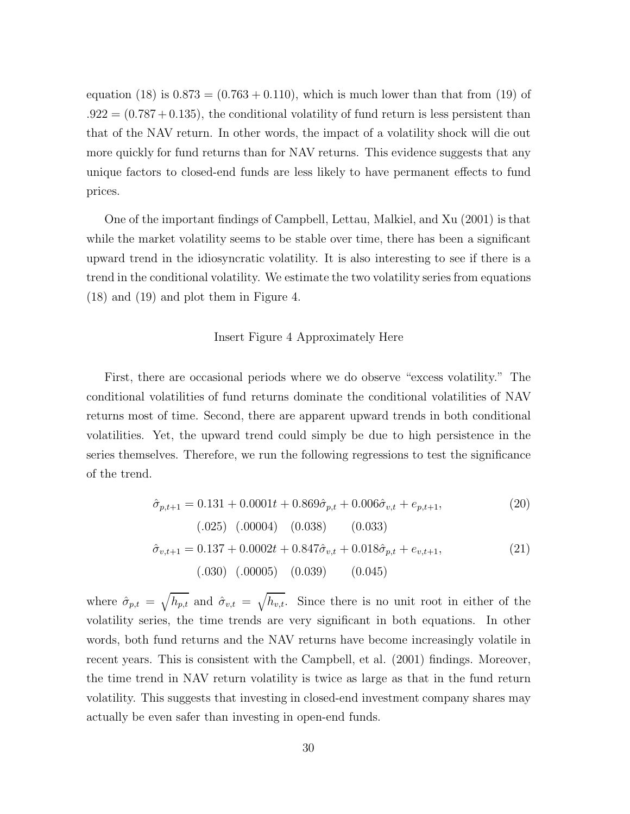equation (18) is  $0.873 = (0.763 + 0.110)$ , which is much lower than that from (19) of  $.922 = (0.787 + 0.135)$ , the conditional volatility of fund return is less persistent than that of the NAV return. In other words, the impact of a volatility shock will die out more quickly for fund returns than for NAV returns. This evidence suggests that any unique factors to closed-end funds are less likely to have permanent effects to fund prices.

One of the important findings of Campbell, Lettau, Malkiel, and Xu (2001) is that while the market volatility seems to be stable over time, there has been a significant upward trend in the idiosyncratic volatility. It is also interesting to see if there is a trend in the conditional volatility. We estimate the two volatility series from equations (18) and (19) and plot them in Figure 4.

#### Insert Figure 4 Approximately Here

First, there are occasional periods where we do observe "excess volatility." The conditional volatilities of fund returns dominate the conditional volatilities of NAV returns most of time. Second, there are apparent upward trends in both conditional volatilities. Yet, the upward trend could simply be due to high persistence in the series themselves. Therefore, we run the following regressions to test the significance of the trend.

$$
\hat{\sigma}_{p,t+1} = 0.131 + 0.0001t + 0.869\hat{\sigma}_{p,t} + 0.006\hat{\sigma}_{v,t} + e_{p,t+1},
$$
\n(20)  
\n(.025) (.00004) (0.038) (0.033)  
\n
$$
\hat{\sigma}_{v,t+1} = 0.137 + 0.0002t + 0.847\hat{\sigma}_{v,t} + 0.018\hat{\sigma}_{p,t} + e_{v,t+1},
$$
\n(21)  
\n(.030) (.00005) (0.039) (0.045)

where  $\hat{\sigma}_{p,t} = \sqrt{h_{p,t}}$  and  $\hat{\sigma}_{v,t} = \sqrt{h_{v,t}}$ . Since there is no unit root in either of the volatility series, the time trends are very significant in both equations. In other words, both fund returns and the NAV returns have become increasingly volatile in recent years. This is consistent with the Campbell, et al. (2001) findings. Moreover, the time trend in NAV return volatility is twice as large as that in the fund return volatility. This suggests that investing in closed-end investment company shares may actually be even safer than investing in open-end funds.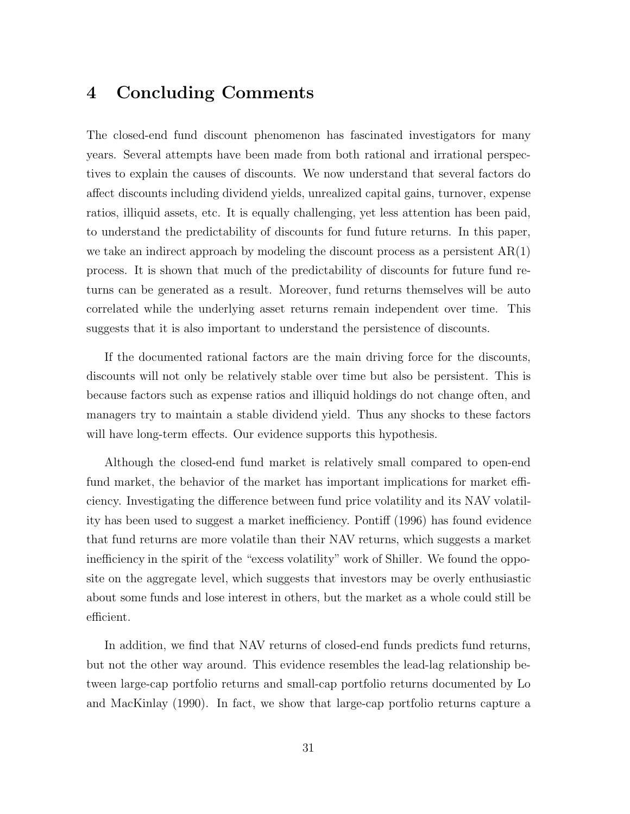### **4 Concluding Comments**

The closed-end fund discount phenomenon has fascinated investigators for many years. Several attempts have been made from both rational and irrational perspectives to explain the causes of discounts. We now understand that several factors do affect discounts including dividend yields, unrealized capital gains, turnover, expense ratios, illiquid assets, etc. It is equally challenging, yet less attention has been paid, to understand the predictability of discounts for fund future returns. In this paper, we take an indirect approach by modeling the discount process as a persistent  $AR(1)$ process. It is shown that much of the predictability of discounts for future fund returns can be generated as a result. Moreover, fund returns themselves will be auto correlated while the underlying asset returns remain independent over time. This suggests that it is also important to understand the persistence of discounts.

If the documented rational factors are the main driving force for the discounts, discounts will not only be relatively stable over time but also be persistent. This is because factors such as expense ratios and illiquid holdings do not change often, and managers try to maintain a stable dividend yield. Thus any shocks to these factors will have long-term effects. Our evidence supports this hypothesis.

Although the closed-end fund market is relatively small compared to open-end fund market, the behavior of the market has important implications for market efficiency. Investigating the difference between fund price volatility and its NAV volatility has been used to suggest a market inefficiency. Pontiff (1996) has found evidence that fund returns are more volatile than their NAV returns, which suggests a market inefficiency in the spirit of the "excess volatility" work of Shiller. We found the opposite on the aggregate level, which suggests that investors may be overly enthusiastic about some funds and lose interest in others, but the market as a whole could still be efficient.

In addition, we find that NAV returns of closed-end funds predicts fund returns, but not the other way around. This evidence resembles the lead-lag relationship between large-cap portfolio returns and small-cap portfolio returns documented by Lo and MacKinlay (1990). In fact, we show that large-cap portfolio returns capture a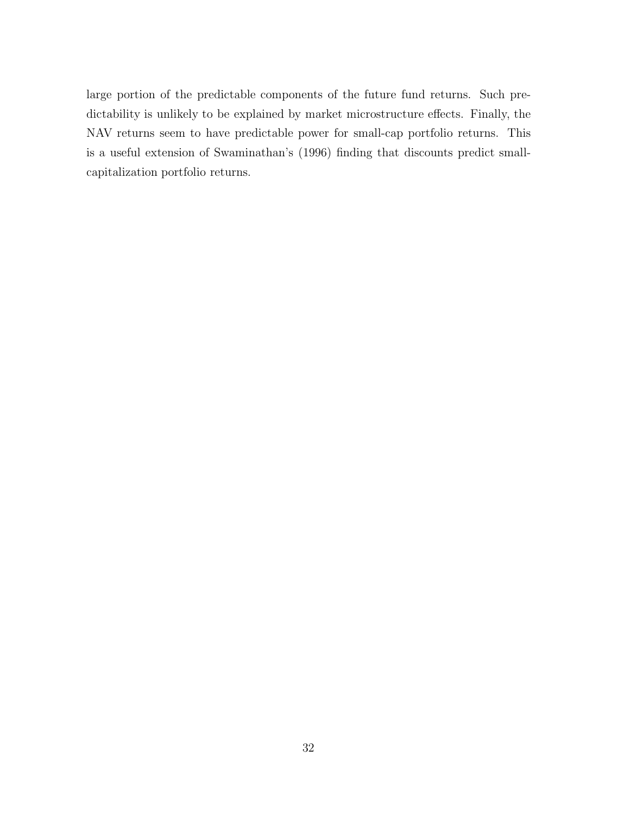large portion of the predictable components of the future fund returns. Such predictability is unlikely to be explained by market microstructure effects. Finally, the NAV returns seem to have predictable power for small-cap portfolio returns. This is a useful extension of Swaminathan's (1996) finding that discounts predict smallcapitalization portfolio returns.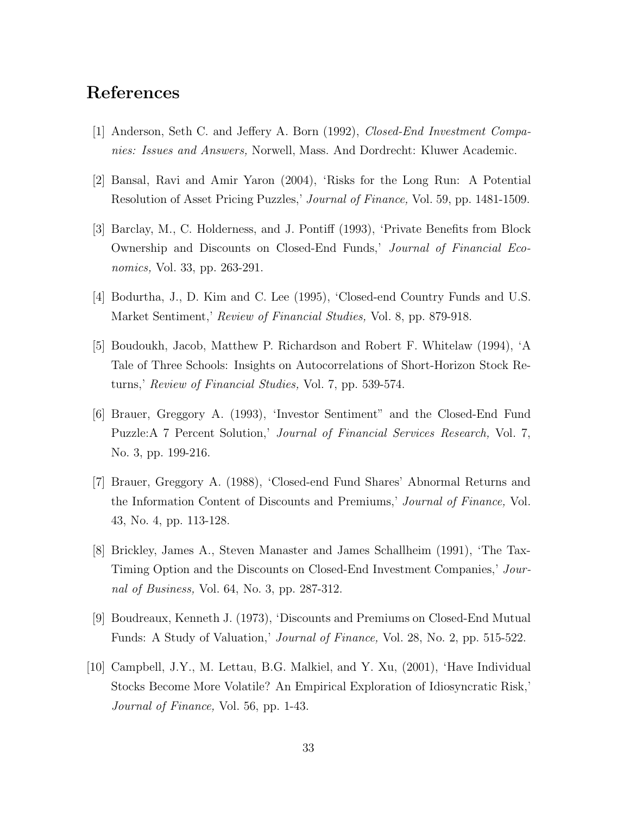# **References**

- [1] Anderson, Seth C. and Jeffery A. Born (1992), *Closed-End Investment Companies: Issues and Answers,* Norwell, Mass. And Dordrecht: Kluwer Academic.
- [2] Bansal, Ravi and Amir Yaron (2004), 'Risks for the Long Run: A Potential Resolution of Asset Pricing Puzzles,' *Journal of Finance,* Vol. 59, pp. 1481-1509.
- [3] Barclay, M., C. Holderness, and J. Pontiff (1993), 'Private Benefits from Block Ownership and Discounts on Closed-End Funds,' *Journal of Financial Economics,* Vol. 33, pp. 263-291.
- [4] Bodurtha, J., D. Kim and C. Lee (1995), 'Closed-end Country Funds and U.S. Market Sentiment,' *Review of Financial Studies,* Vol. 8, pp. 879-918.
- [5] Boudoukh, Jacob, Matthew P. Richardson and Robert F. Whitelaw (1994), 'A Tale of Three Schools: Insights on Autocorrelations of Short-Horizon Stock Returns,' *Review of Financial Studies,* Vol. 7, pp. 539-574.
- [6] Brauer, Greggory A. (1993), 'Investor Sentiment" and the Closed-End Fund Puzzle:A 7 Percent Solution,' *Journal of Financial Services Research,* Vol. 7, No. 3, pp. 199-216.
- [7] Brauer, Greggory A. (1988), 'Closed-end Fund Shares' Abnormal Returns and the Information Content of Discounts and Premiums,' *Journal of Finance,* Vol. 43, No. 4, pp. 113-128.
- [8] Brickley, James A., Steven Manaster and James Schallheim (1991), 'The Tax-Timing Option and the Discounts on Closed-End Investment Companies,' *Journal of Business,* Vol. 64, No. 3, pp. 287-312.
- [9] Boudreaux, Kenneth J. (1973), 'Discounts and Premiums on Closed-End Mutual Funds: A Study of Valuation,' *Journal of Finance,* Vol. 28, No. 2, pp. 515-522.
- [10] Campbell, J.Y., M. Lettau, B.G. Malkiel, and Y. Xu, (2001), 'Have Individual Stocks Become More Volatile? An Empirical Exploration of Idiosyncratic Risk,' *Journal of Finance,* Vol. 56, pp. 1-43.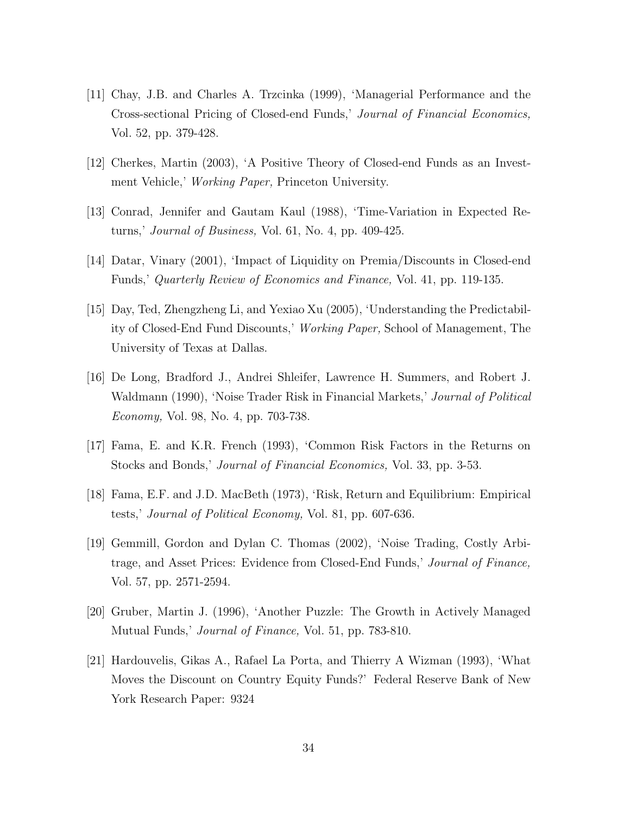- [11] Chay, J.B. and Charles A. Trzcinka (1999), 'Managerial Performance and the Cross-sectional Pricing of Closed-end Funds,' *Journal of Financial Economics,* Vol. 52, pp. 379-428.
- [12] Cherkes, Martin (2003), 'A Positive Theory of Closed-end Funds as an Investment Vehicle,' *Working Paper,* Princeton University.
- [13] Conrad, Jennifer and Gautam Kaul (1988), 'Time-Variation in Expected Returns,' *Journal of Business,* Vol. 61, No. 4, pp. 409-425.
- [14] Datar, Vinary (2001), 'Impact of Liquidity on Premia/Discounts in Closed-end Funds,' *Quarterly Review of Economics and Finance,* Vol. 41, pp. 119-135.
- [15] Day, Ted, Zhengzheng Li, and Yexiao Xu (2005), 'Understanding the Predictability of Closed-End Fund Discounts,' *Working Paper,* School of Management, The University of Texas at Dallas.
- [16] De Long, Bradford J., Andrei Shleifer, Lawrence H. Summers, and Robert J. Waldmann (1990), 'Noise Trader Risk in Financial Markets,' *Journal of Political Economy,* Vol. 98, No. 4, pp. 703-738.
- [17] Fama, E. and K.R. French (1993), 'Common Risk Factors in the Returns on Stocks and Bonds,' *Journal of Financial Economics,* Vol. 33, pp. 3-53.
- [18] Fama, E.F. and J.D. MacBeth (1973), 'Risk, Return and Equilibrium: Empirical tests,' *Journal of Political Economy,* Vol. 81, pp. 607-636.
- [19] Gemmill, Gordon and Dylan C. Thomas (2002), 'Noise Trading, Costly Arbitrage, and Asset Prices: Evidence from Closed-End Funds,' *Journal of Finance,* Vol. 57, pp. 2571-2594.
- [20] Gruber, Martin J. (1996), 'Another Puzzle: The Growth in Actively Managed Mutual Funds,' *Journal of Finance,* Vol. 51, pp. 783-810.
- [21] Hardouvelis, Gikas A., Rafael La Porta, and Thierry A Wizman (1993), 'What Moves the Discount on Country Equity Funds?' Federal Reserve Bank of New York Research Paper: 9324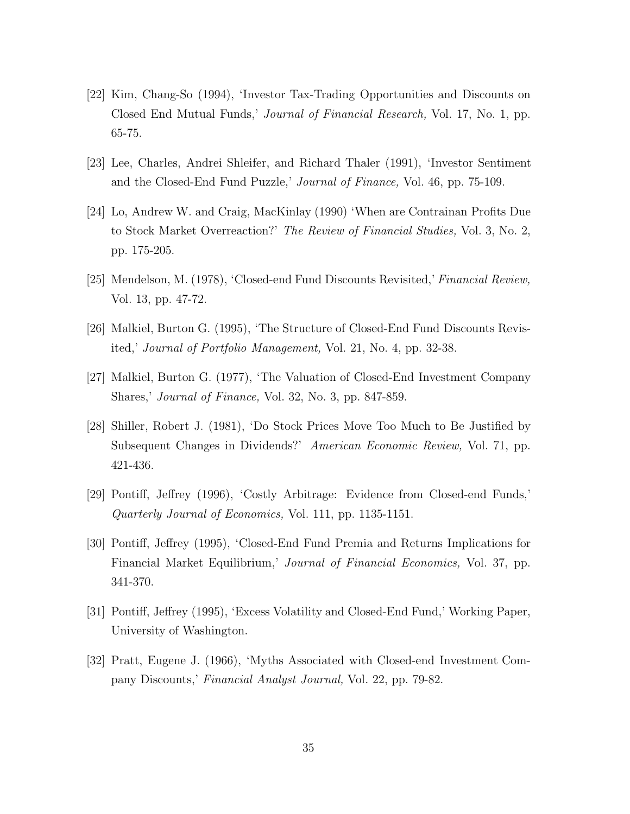- [22] Kim, Chang-So (1994), 'Investor Tax-Trading Opportunities and Discounts on Closed End Mutual Funds,' *Journal of Financial Research,* Vol. 17, No. 1, pp. 65-75.
- [23] Lee, Charles, Andrei Shleifer, and Richard Thaler (1991), 'Investor Sentiment and the Closed-End Fund Puzzle,' *Journal of Finance,* Vol. 46, pp. 75-109.
- [24] Lo, Andrew W. and Craig, MacKinlay (1990) 'When are Contrainan Profits Due to Stock Market Overreaction?' *The Review of Financial Studies,* Vol. 3, No. 2, pp. 175-205.
- [25] Mendelson, M. (1978), 'Closed-end Fund Discounts Revisited,' *Financial Review,* Vol. 13, pp. 47-72.
- [26] Malkiel, Burton G. (1995), 'The Structure of Closed-End Fund Discounts Revisited,' *Journal of Portfolio Management,* Vol. 21, No. 4, pp. 32-38.
- [27] Malkiel, Burton G. (1977), 'The Valuation of Closed-End Investment Company Shares,' *Journal of Finance,* Vol. 32, No. 3, pp. 847-859.
- [28] Shiller, Robert J. (1981), 'Do Stock Prices Move Too Much to Be Justified by Subsequent Changes in Dividends?' *American Economic Review,* Vol. 71, pp. 421-436.
- [29] Pontiff, Jeffrey (1996), 'Costly Arbitrage: Evidence from Closed-end Funds,' *Quarterly Journal of Economics,* Vol. 111, pp. 1135-1151.
- [30] Pontiff, Jeffrey (1995), 'Closed-End Fund Premia and Returns Implications for Financial Market Equilibrium,' *Journal of Financial Economics,* Vol. 37, pp. 341-370.
- [31] Pontiff, Jeffrey (1995), 'Excess Volatility and Closed-End Fund,' Working Paper, University of Washington.
- [32] Pratt, Eugene J. (1966), 'Myths Associated with Closed-end Investment Company Discounts,' *Financial Analyst Journal,* Vol. 22, pp. 79-82.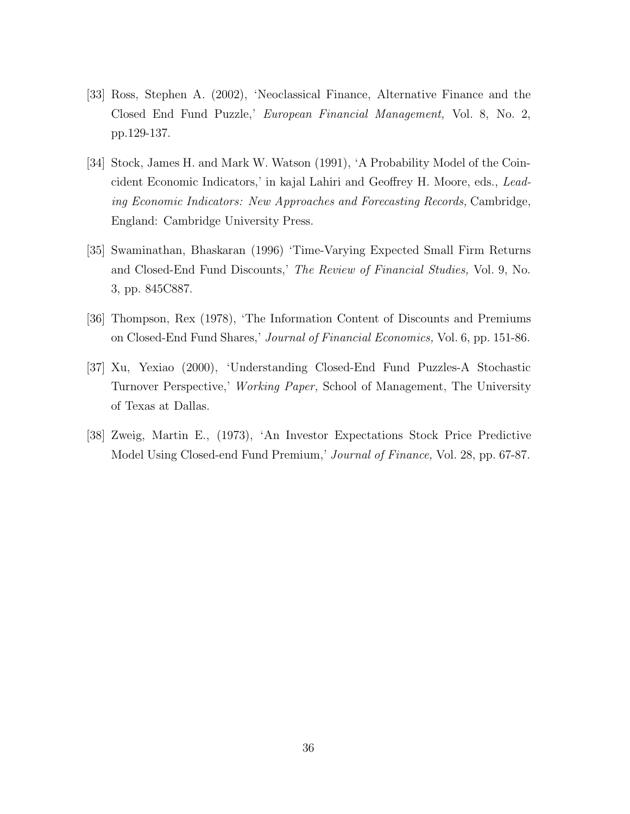- [33] Ross, Stephen A. (2002), 'Neoclassical Finance, Alternative Finance and the Closed End Fund Puzzle,' *European Financial Management,* Vol. 8, No. 2, pp.129-137.
- [34] Stock, James H. and Mark W. Watson (1991), 'A Probability Model of the Coincident Economic Indicators,' in kajal Lahiri and Geoffrey H. Moore, eds., *Leading Economic Indicators: New Approaches and Forecasting Records,* Cambridge, England: Cambridge University Press.
- [35] Swaminathan, Bhaskaran (1996) 'Time-Varying Expected Small Firm Returns and Closed-End Fund Discounts,' *The Review of Financial Studies,* Vol. 9, No. 3, pp. 845C887.
- [36] Thompson, Rex (1978), 'The Information Content of Discounts and Premiums on Closed-End Fund Shares,' *Journal of Financial Economics,* Vol. 6, pp. 151-86.
- [37] Xu, Yexiao (2000), 'Understanding Closed-End Fund Puzzles-A Stochastic Turnover Perspective,' *Working Paper,* School of Management, The University of Texas at Dallas.
- [38] Zweig, Martin E., (1973), 'An Investor Expectations Stock Price Predictive Model Using Closed-end Fund Premium,' *Journal of Finance,* Vol. 28, pp. 67-87.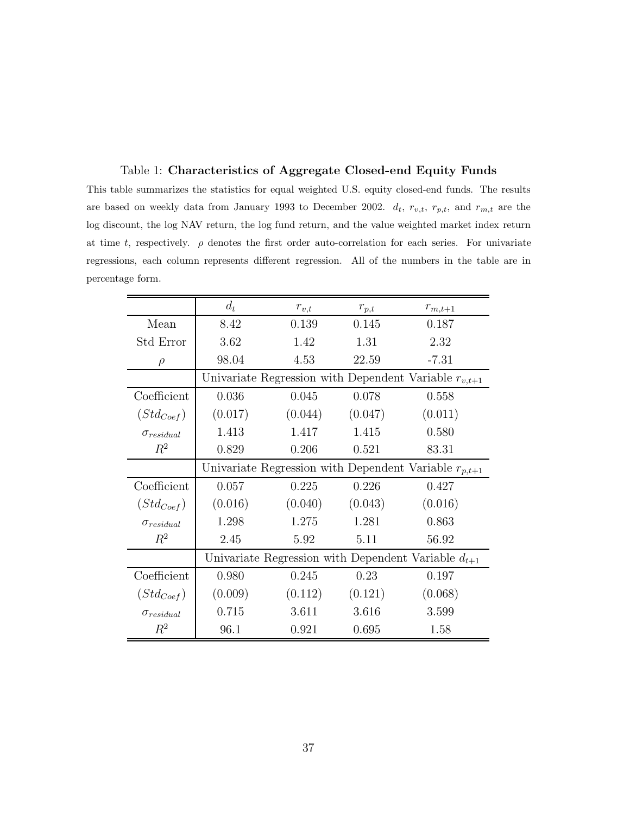Table 1: **Characteristics of Aggregate Closed-end Equity Funds** This table summarizes the statistics for equal weighted U.S. equity closed-end funds. The results are based on weekly data from January 1993 to December 2002. d*t*, r*v,t*, r*p,t*, and r*m,t* are the log discount, the log NAV return, the log fund return, and the value weighted market index return at time t, respectively.  $\rho$  denotes the first order auto-correlation for each series. For univariate regressions, each column represents different regression. All of the numbers in the table are in percentage form.

|                     | $d_t$                                                     | $r_{v,t}$ | $r_{p,t}$ | $r_{m,t+1}$                                               |  |  |  |  |
|---------------------|-----------------------------------------------------------|-----------|-----------|-----------------------------------------------------------|--|--|--|--|
| Mean                | 8.42                                                      | 0.139     | 0.145     | 0.187                                                     |  |  |  |  |
| Std Error           | 3.62                                                      | 1.42      | 1.31      | 2.32                                                      |  |  |  |  |
| $\rho$              | 98.04                                                     | 4.53      | 22.59     | $-7.31$                                                   |  |  |  |  |
|                     |                                                           |           |           | Univariate Regression with Dependent Variable $r_{v,t+1}$ |  |  |  |  |
| Coefficient         | 0.036                                                     | 0.045     | 0.078     | 0.558                                                     |  |  |  |  |
| $(Std_{Coef})$      | (0.017)                                                   | (0.044)   | (0.047)   | (0.011)                                                   |  |  |  |  |
| $\sigma_{residual}$ | 1.413                                                     | 1.417     | 1.415     | 0.580                                                     |  |  |  |  |
| $R^2$               | 0.829                                                     | 0.206     | 0.521     | 83.31                                                     |  |  |  |  |
|                     | Univariate Regression with Dependent Variable $r_{p,t+1}$ |           |           |                                                           |  |  |  |  |
| Coefficient         | 0.057                                                     | 0.225     | 0.226     | 0.427                                                     |  |  |  |  |
| $(Std_{Coef})$      | (0.016)                                                   | (0.040)   | (0.043)   | (0.016)                                                   |  |  |  |  |
| $\sigma_{residual}$ | 1.298                                                     | 1.275     | 1.281     | 0.863                                                     |  |  |  |  |
| $R^2$               | 2.45                                                      | 5.92      | 5.11      | 56.92                                                     |  |  |  |  |
|                     | Univariate Regression with Dependent Variable $d_{t+1}$   |           |           |                                                           |  |  |  |  |
| Coefficient         | 0.980                                                     | 0.245     | 0.23      | 0.197                                                     |  |  |  |  |
| $(Std_{Coef})$      | (0.009)                                                   | (0.112)   | (0.121)   | (0.068)                                                   |  |  |  |  |
| $\sigma_{residual}$ | 0.715                                                     | 3.611     | 3.616     | 3.599                                                     |  |  |  |  |
| $R^2$               | 96.1                                                      | 0.921     | 0.695     | 1.58                                                      |  |  |  |  |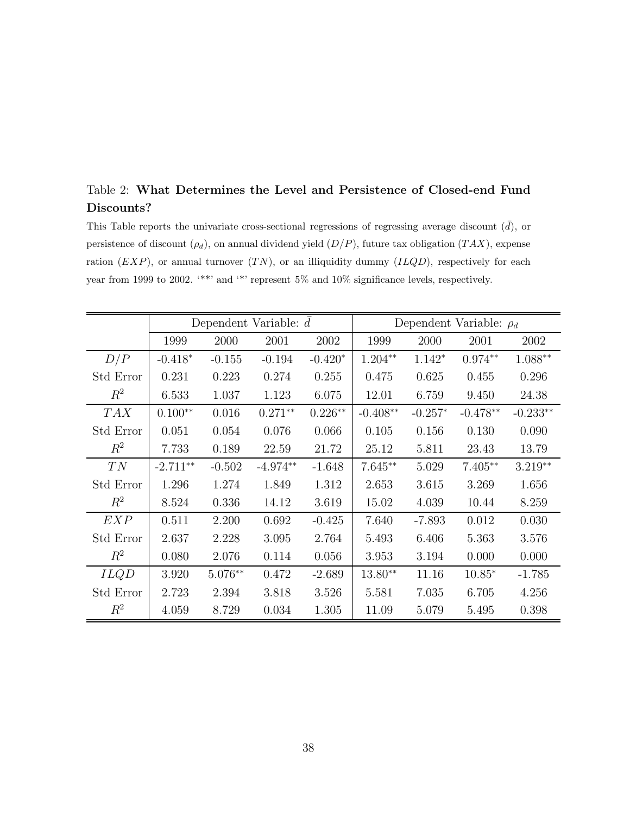### Table 2: **What Determines the Level and Persistence of Closed-end Fund Discounts?**

This Table reports the univariate cross-sectional regressions of regressing average discount  $(\bar{d})$ , or persistence of discount  $(\rho_d)$ , on annual dividend yield  $(D/P)$ , future tax obligation  $(TAX)$ , expense ration  $(EXP)$ , or annual turnover  $(TN)$ , or an illiquidity dummy  $(ILQD)$ , respectively for each year from 1999 to 2002. '\*\*' and '\*' represent 5% and 10% significance levels, respectively.

|                  | Dependent Variable: $d$ |           |            |           | Dependent Variable: $\rho_d$ |           |            |            |
|------------------|-------------------------|-----------|------------|-----------|------------------------------|-----------|------------|------------|
|                  | 1999                    | 2000      | 2001       | 2002      | 1999                         | 2000      | 2001       | 2002       |
| D/P              | $-0.418*$               | $-0.155$  | $-0.194$   | $-0.420*$ | 1.204**                      | $1.142*$  | $0.974**$  | 1.088**    |
| Std Error        | 0.231                   | 0.223     | 0.274      | 0.255     | 0.475                        | 0.625     | 0.455      | 0.296      |
| $R^2$            | 6.533                   | 1.037     | 1.123      | 6.075     | 12.01                        | 6.759     | 9.450      | 24.38      |
| <b>TAX</b>       | $0.100**$               | 0.016     | $0.271**$  | $0.226**$ | $-0.408**$                   | $-0.257*$ | $-0.478**$ | $-0.233**$ |
| Std Error        | 0.051                   | 0.054     | 0.076      | 0.066     | 0.105                        | 0.156     | 0.130      | 0.090      |
| $R^2$            | 7.733                   | 0.189     | 22.59      | 21.72     | 25.12                        | 5.811     | 23.43      | 13.79      |
| TN               | $-2.711**$              | $-0.502$  | $-4.974**$ | $-1.648$  | $7.645**$                    | 5.029     | $7.405**$  | $3.219**$  |
| Std Error        | 1.296                   | 1.274     | 1.849      | 1.312     | 2.653                        | 3.615     | 3.269      | 1.656      |
| $R^2$            | 8.524                   | 0.336     | 14.12      | 3.619     | 15.02                        | 4.039     | 10.44      | 8.259      |
| EXP              | 0.511                   | 2.200     | 0.692      | $-0.425$  | 7.640                        | $-7.893$  | 0.012      | 0.030      |
| Std Error        | 2.637                   | 2.228     | 3.095      | 2.764     | 5.493                        | 6.406     | 5.363      | 3.576      |
| $R^2$            | 0.080                   | 2.076     | 0.114      | 0.056     | 3.953                        | 3.194     | 0.000      | 0.000      |
| <i>ILQD</i>      | 3.920                   | $5.076**$ | 0.472      | $-2.689$  | $13.80**$                    | 11.16     | $10.85*$   | $-1.785$   |
| <b>Std Error</b> | 2.723                   | 2.394     | 3.818      | 3.526     | 5.581                        | 7.035     | 6.705      | 4.256      |
| $R^2$            | 4.059                   | 8.729     | 0.034      | 1.305     | 11.09                        | 5.079     | 5.495      | 0.398      |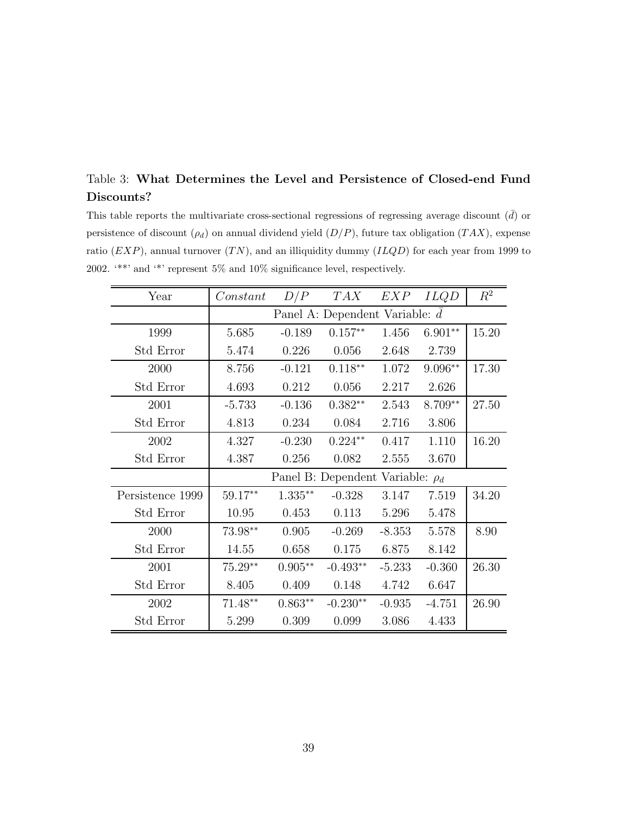### Table 3: **What Determines the Level and Persistence of Closed-end Fund Discounts?**

This table reports the multivariate cross-sectional regressions of regressing average discount  $(\bar{d})$  or persistence of discount  $(\rho_d)$  on annual dividend yield  $(D/P)$ , future tax obligation  $(TAX)$ , expense ratio  $(EXP)$ , annual turnover  $(TN)$ , and an illiquidity dummy  $(ILQD)$  for each year from 1999 to 2002. '\*\*' and '\*' represent 5% and 10% significance level, respectively.

| Year             | Constant                              | D/P       | TAX        | EXP      | <i>ILQD</i> | $R^2$ |  |  |
|------------------|---------------------------------------|-----------|------------|----------|-------------|-------|--|--|
|                  | Panel A: Dependent Variable: d        |           |            |          |             |       |  |  |
| 1999             | 5.685                                 | $-0.189$  | $0.157**$  | 1.456    | $6.901**$   | 15.20 |  |  |
| Std Error        | 5.474                                 | 0.226     | 0.056      | 2.648    | 2.739       |       |  |  |
| 2000             | 8.756                                 | $-0.121$  | $0.118**$  | 1.072    | $9.096**$   | 17.30 |  |  |
| Std Error        | 4.693                                 | 0.212     | 0.056      | 2.217    | 2.626       |       |  |  |
| 2001             | $-5.733$                              | $-0.136$  | $0.382**$  | 2.543    | 8.709**     | 27.50 |  |  |
| Std Error        | 4.813                                 | 0.234     | 0.084      | 2.716    | 3.806       |       |  |  |
| 2002             | 4.327                                 | $-0.230$  | $0.224**$  | 0.417    | 1.110       | 16.20 |  |  |
| Std Error        | 4.387                                 | 0.256     | 0.082      | 2.555    | 3.670       |       |  |  |
|                  | Panel B: Dependent Variable: $\rho_d$ |           |            |          |             |       |  |  |
| Persistence 1999 | 59.17**                               | $1.335**$ | $-0.328$   | 3.147    | 7.519       | 34.20 |  |  |
| Std Error        | 10.95                                 | 0.453     | 0.113      | 5.296    | 5.478       |       |  |  |
| 2000             | 73.98**                               | 0.905     | $-0.269$   | $-8.353$ | 5.578       | 8.90  |  |  |
| Std Error        | 14.55                                 | 0.658     | 0.175      | 6.875    | 8.142       |       |  |  |
| 2001             | $75.29**$                             | $0.905**$ | $-0.493**$ | $-5.233$ | $-0.360$    | 26.30 |  |  |
| Std Error        | 8.405                                 | 0.409     | 0.148      | 4.742    | 6.647       |       |  |  |
| 2002             | $71.48**$                             | $0.863**$ | $-0.230**$ | $-0.935$ | $-4.751$    | 26.90 |  |  |
| Std Error        | 5.299                                 | 0.309     | 0.099      | 3.086    | 4.433       |       |  |  |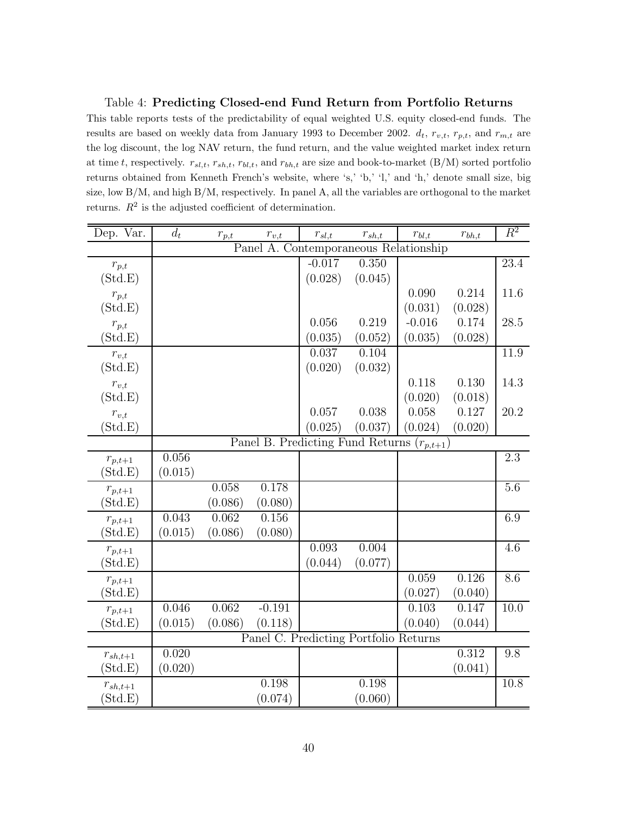#### Table 4: **Predicting Closed-end Fund Return from Portfolio Returns**

This table reports tests of the predictability of equal weighted U.S. equity closed-end funds. The results are based on weekly data from January 1993 to December 2002. d*t*, r*v,t*, r*p,t*, and r*m,t* are the log discount, the log NAV return, the fund return, and the value weighted market index return at time t, respectively. r*sl,t*, r*sh,t*, r*bl,t*, and r*bh,t* are size and book-to-market (B/M) sorted portfolio returns obtained from Kenneth French's website, where 's,' 'b,' 'l,' and 'h,' denote small size, big size, low B/M, and high B/M, respectively. In panel A, all the variables are orthogonal to the market returns.  $R^2$  is the adjusted coefficient of determination.

| Dep. Var.          | $d_t$   | $r_{p,t}$ | $r_{v,t}$ | $r_{sl,t}$ | $r_{sh,t}$                            | $r_{bl,t}$    | $r_{bh,t}$ | $\overline{R^2}$  |
|--------------------|---------|-----------|-----------|------------|---------------------------------------|---------------|------------|-------------------|
|                    |         | Panel     |           |            | A. Contemporaneous Relationship       |               |            |                   |
| $r_{p,t}$          |         |           |           | $-0.017$   | 0.350                                 |               |            | $\overline{23.4}$ |
| (Std.E)            |         |           |           | (0.028)    | (0.045)                               |               |            |                   |
| $r_{p,t}$          |         |           |           |            |                                       | 0.090         | 0.214      | 11.6              |
| (Std.E)            |         |           |           |            |                                       | (0.031)       | (0.028)    |                   |
| $r_{p,t}$          |         |           |           | 0.056      | 0.219                                 | $-0.016$      | 0.174      | 28.5              |
| (Std.E)            |         |           |           | (0.035)    | (0.052)                               | (0.035)       | (0.028)    |                   |
| $r_{v,t}$          |         |           |           | 0.037      | 0.104                                 |               |            | 11.9              |
| (Std.E)            |         |           |           | (0.020)    | (0.032)                               |               |            |                   |
| $r_{v,t}$          |         |           |           |            |                                       | 0.118         | 0.130      | 14.3              |
| (Std.E)            |         |           |           |            |                                       | (0.020)       | (0.018)    |                   |
| $r_{v,t}$          |         |           |           | 0.057      | 0.038                                 | 0.058         | 0.127      | 20.2              |
| Std.E              |         |           |           | (0.025)    | (0.037)                               | (0.024)       | (0.020)    |                   |
|                    |         |           |           |            | Panel B. Predicting Fund Returns      | $(r_{p,t+1})$ |            |                   |
| $r_{p,t+1}$        | 0.056   |           |           |            |                                       |               |            | 2.3               |
| Std.E              | (0.015) |           |           |            |                                       |               |            |                   |
| $r_{p,t+1}$        |         | 0.058     | 0.178     |            |                                       |               |            | 5.6               |
| $\mathrm{Std.E)}$  |         | (0.086)   | (0.080)   |            |                                       |               |            |                   |
| $r_{p,t+1}$        | 0.043   | 0.062     | 0.156     |            |                                       |               |            | 6.9               |
| $(\mathrm{Std.E})$ | (0.015) | (0.086)   | (0.080)   |            |                                       |               |            |                   |
| $r_{p,t+1}$        |         |           |           | 0.093      | 0.004                                 |               |            | 4.6               |
| $(\mathrm{Std.E})$ |         |           |           | (0.044)    | (0.077)                               |               |            |                   |
| $r_{p,t+1}$        |         |           |           |            |                                       | 0.059         | 0.126      | 8.6               |
| $(\mathrm{Std.E})$ |         |           |           |            |                                       | (0.027)       | (0.040)    |                   |
| $r_{p,t+1}$        | 0.046   | 0.062     | $-0.191$  |            |                                       | 0.103         | 0.147      | $\overline{10.0}$ |
| $\mathrm{Std.E)}$  | (0.015) | (0.086)   | (0.118)   |            |                                       | (0.040)       | (0.044)    |                   |
|                    |         |           |           |            | Panel C. Predicting Portfolio Returns |               |            |                   |
| $r_{sh,t+1}$       | 0.020   |           |           |            |                                       |               | 0.312      | 9.8               |
| $(\mathrm{Std.E})$ | (0.020) |           |           |            |                                       |               | (0.041)    |                   |
| $r_{sh,t+1}$       |         |           | 0.198     |            | 0.198                                 |               |            | 10.8              |
| $(\mathrm{Std.E})$ |         |           | (0.074)   |            | (0.060)                               |               |            |                   |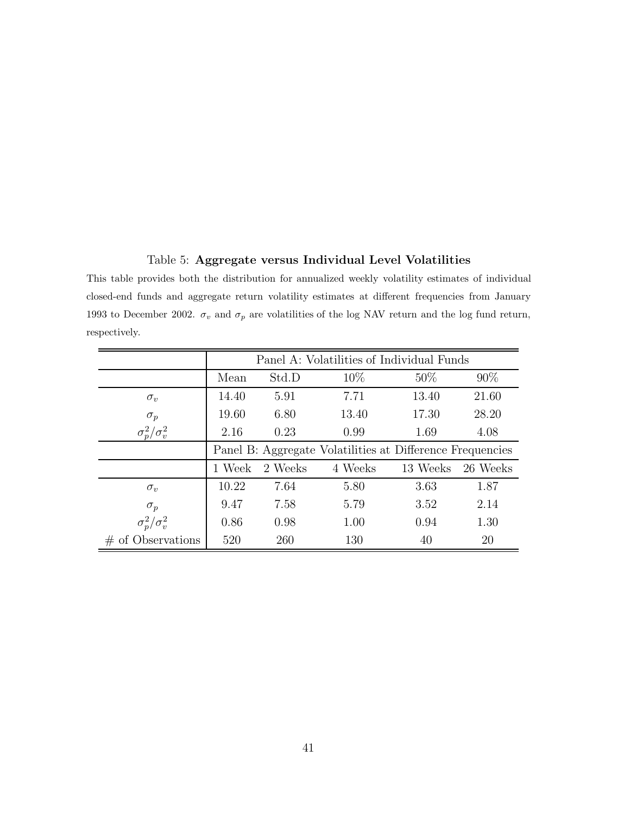#### Table 5: **Aggregate versus Individual Level Volatilities**

This table provides both the distribution for annualized weekly volatility estimates of individual closed-end funds and aggregate return volatility estimates at different frequencies from January 1993 to December 2002.  $\sigma_v$  and  $\sigma_p$  are volatilities of the log NAV return and the log fund return, respectively.

|                         | Panel A: Volatilities of Individual Funds                 |         |         |          |          |  |  |
|-------------------------|-----------------------------------------------------------|---------|---------|----------|----------|--|--|
|                         | Mean                                                      | Std.D   | $10\%$  | $50\%$   | $90\%$   |  |  |
| $\sigma_v$              | 14.40                                                     | 5.91    | 7.71    | 13.40    | 21.60    |  |  |
| $\sigma_p$              | 19.60                                                     | 6.80    | 13.40   | 17.30    | 28.20    |  |  |
| $\sigma_p^2/\sigma_v^2$ | 2.16                                                      | 0.23    | 0.99    | 1.69     | 4.08     |  |  |
|                         | Panel B: Aggregate Volatilities at Difference Frequencies |         |         |          |          |  |  |
|                         | 1 Week                                                    | 2 Weeks | 4 Weeks | 13 Weeks | 26 Weeks |  |  |
| $\sigma_{v}$            | 10.22                                                     | 7.64    | 5.80    | 3.63     | 1.87     |  |  |
| $\sigma_p$              | 9.47                                                      | 7.58    | 5.79    | 3.52     | 2.14     |  |  |
| $\sigma_p^2/\sigma_v^2$ | 0.86                                                      | 0.98    | 1.00    | 0.94     | 1.30     |  |  |
| $\#$ of Observations    | 520                                                       | 260     | 130     | 40       | 20       |  |  |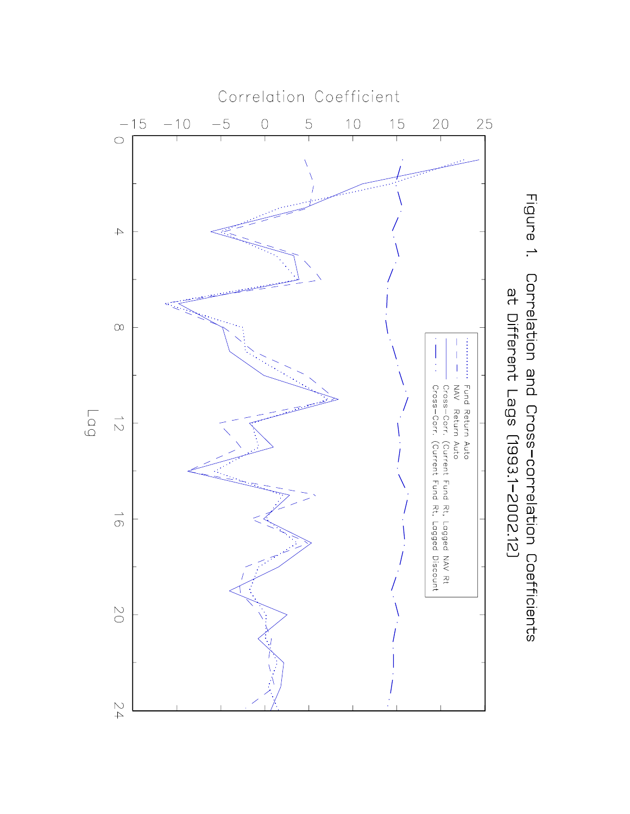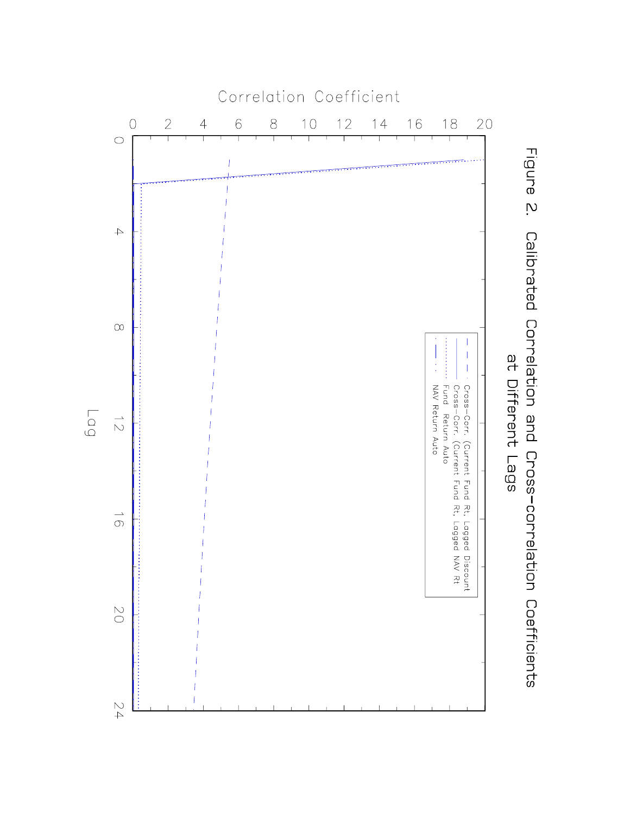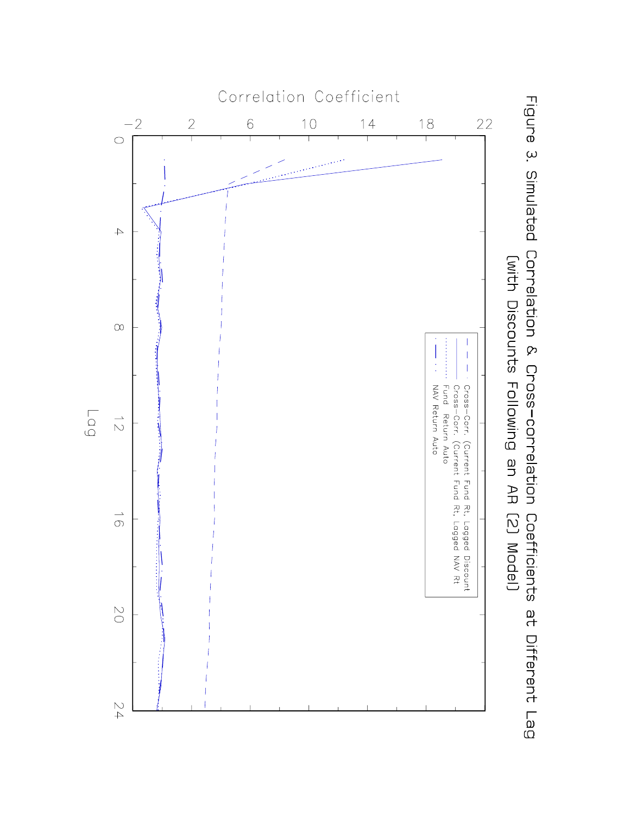